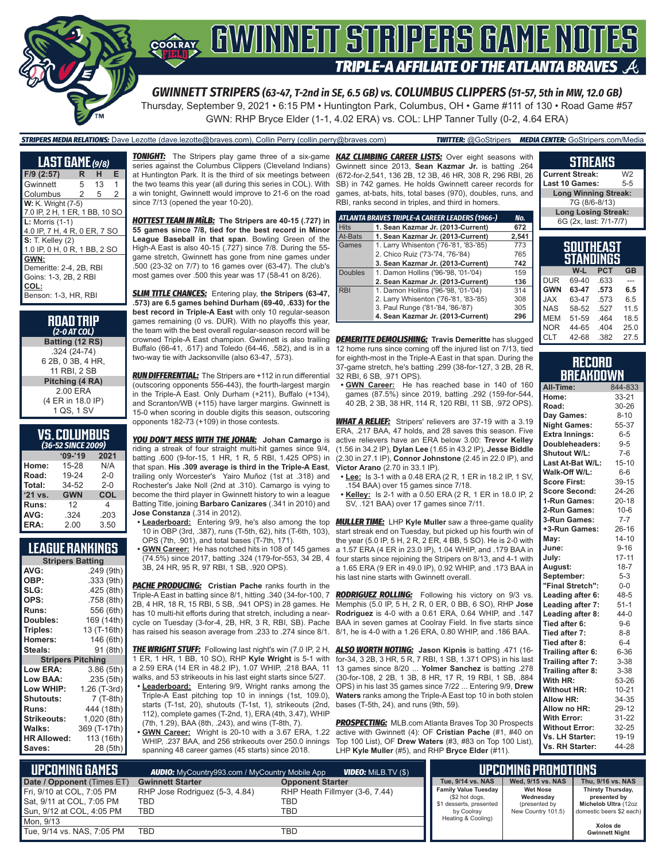

Thursday, September 9, 2021 • 6:15 PM • Huntington Park, Columbus, OH • Game #111 of 130 • Road Game #57

GWN: RHP Bryce Elder (1-1, 4.02 ERA) vs. COL: LHP Tanner Tully (0-2, 4.64 ERA)

### *STRIPERS MEDIA RELATIONS:* Dave Lezotte (dave.lezotte@braves.com), Collin Perry (collin.perry@braves.com) *TWITTER:* @GoStripers *MEDIA CENTER:* GoStripers.com/Media

| <b>LAST GAME</b> (9/8)         |    |    |   |  |  |  |  |  |
|--------------------------------|----|----|---|--|--|--|--|--|
| F/9 (2:57)                     | R. | н  | Е |  |  |  |  |  |
| Gwinnett                       | 5  | 13 | 1 |  |  |  |  |  |
| Columbus                       | 2  | 5  | 2 |  |  |  |  |  |
| <b>W:</b> K. Wright (7-5)      |    |    |   |  |  |  |  |  |
| 7.0 IP, 2 H, 1 ER, 1 BB, 10 SO |    |    |   |  |  |  |  |  |
| $L:$ Morris $(1-1)$            |    |    |   |  |  |  |  |  |
| 4.0 IP, 7 H, 4 R, 0 ER, 7 SO   |    |    |   |  |  |  |  |  |
| <b>S:</b> T. Kelley (2)        |    |    |   |  |  |  |  |  |
| 1.0 IP, 0 H, 0 R, 1 BB, 2 SO   |    |    |   |  |  |  |  |  |
| GWN:                           |    |    |   |  |  |  |  |  |
| Demeritte: 2-4, 2B, RBI        |    |    |   |  |  |  |  |  |
| Goins: 1-3, 2B, 2 RBI          |    |    |   |  |  |  |  |  |
| COL:                           |    |    |   |  |  |  |  |  |
| Benson: 1-3, HR, RBI           |    |    |   |  |  |  |  |  |

**ROAD TRIP** *(2-0 AT COL)* **Batting (12 RS)** .324 (24-74) 6 2B, 0 3B, 4 HR, 11 RBI, 2 SB **Pitching (4 RA)** 2.00 ERA (4 ER in 18.0 IP) 1 QS, 1 SV

### **VS. COLUMBUS**

| (36-52 SINCE 2009) |            |         |  |  |  |  |
|--------------------|------------|---------|--|--|--|--|
|                    | $09 - 19$  | 2021    |  |  |  |  |
| Home:              | 15-28      | N/A     |  |  |  |  |
| Road:              | 19-24      | $2 - 0$ |  |  |  |  |
| Total:             | 34-52      | $2 - 0$ |  |  |  |  |
| '21 vs.            | <b>GWN</b> | COL     |  |  |  |  |
| Runs:              | 12         | 4       |  |  |  |  |
| AVG:               | .324       | .203    |  |  |  |  |
| ERA:               | 2.00       | 3.50    |  |  |  |  |

### **LEAGUE RANKINGS**

| <b>Stripers Batting</b> |                          |  |  |  |  |  |  |
|-------------------------|--------------------------|--|--|--|--|--|--|
| AVG:                    | .249 (9th)               |  |  |  |  |  |  |
| OBP:                    | .333 (9th)               |  |  |  |  |  |  |
| SLG:                    | .425 (8th)               |  |  |  |  |  |  |
| OPS:                    | .758 (8th)               |  |  |  |  |  |  |
| <b>Runs:</b>            | 556 (6th)                |  |  |  |  |  |  |
| Doubles:                | 169 (14th)               |  |  |  |  |  |  |
| Triples:                | 13 (T-16th)              |  |  |  |  |  |  |
| <b>Homers:</b>          | 146 (6th)                |  |  |  |  |  |  |
| Steals:                 | 91 (8th)                 |  |  |  |  |  |  |
|                         | <b>Stripers Pitching</b> |  |  |  |  |  |  |
| Low ERA:                | 3.86(5th)                |  |  |  |  |  |  |
| Low BAA:                | .235 (5th)               |  |  |  |  |  |  |
| Low WHIP:               | 1.26 (T-3rd)             |  |  |  |  |  |  |
| <b>Shutouts:</b>        | 7 (T-8th)                |  |  |  |  |  |  |
| <b>Runs:</b>            | 444 (18th)               |  |  |  |  |  |  |
| Strikeouts:             | 1,020 (8th)              |  |  |  |  |  |  |
| Walks:                  | 369 (T-17th)             |  |  |  |  |  |  |
| <b>HR Allowed:</b>      | 113 (16th)               |  |  |  |  |  |  |
| Saves:                  | 28 (5th)                 |  |  |  |  |  |  |

*TONIGHT:* The Stripers play game three of a six-game *KAZ CLIMBING CAREER LISTS:* Over eight seasons with series against the Columbus Clippers (Cleveland Indians) at Huntington Park. It is the third of six meetings between the two teams this year (all during this series in COL). With a win tonight, Gwinnett would improve to 21-6 on the road since 7/13 (opened the year 10-20).

*HOTTEST TEAM IN MiLB:* **The Stripers are 40-15 (.727) in 55 games since 7/8, tied for the best record in Minor League Baseball in that span**. Bowling Green of the High-A East is also 40-15 (.727) since 7/8. During the 55 game stretch, Gwinnett has gone from nine games under .500 (23-32 on 7/7) to 16 games over (63-47). The club's most games over .500 this year was 17 (58-41 on 8/26).

*SLIM TITLE CHANCES:* Entering play, **the Stripers (63-47, .573) are 6.5 games behind Durham (69-40, .633) for the best record in Triple-A East** with only 10 regular-season games remaining (0 vs. DUR). With no playoffs this year, the team with the best overall regular-season record will be crowned Triple-A East champion. Gwinnett is also trailing Buffalo (66-41, .617) and Toledo (64-46, .582), and is in a two-way tie with Jacksonville (also 63-47, .573).

*RUN DIFFERENTIAL:* The Stripers are +112 in run differential (outscoring opponents 556-443), the fourth-largest margin in the Triple-A East. Only Durham (+211), Buffalo (+134), and Scranton/WB (+115) have larger margins. Gwinnett is 15-0 when scoring in double digits this season, outscoring opponents 182-73 (+109) in those contests.

*YOU DON'T MESS WITH THE JOHAN:* **Johan Camargo** is riding a streak of four straight multi-hit games since 9/4, batting .600 (9-for-15, 1 HR, 1 R, 5 RBI, 1.425 OPS) in that span. **His .309 average is third in the Triple-A East**, trailing only Worcester's Yairo Muñoz (1st at .318) and Rochester's Jake Noll (2nd at .310). Camargo is vying to become the third player in Gwinnett history to win a league Batting Title, joining **Barbaro Canizares** (.341 in 2010) and **Jose Constanza** (.314 in 2012).

- **• Leaderboard:** Entering 9/9, he's also among the top 10 in OBP (3rd, .387), runs (T-5th, 62), hits (T-6th, 103), OPS (7th, .901), and total bases (T-7th, 171).
- **• GWN Career:** He has notched hits in 108 of 145 games (74.5%) since 2017, batting .324 (179-for-553, 34 2B, 4 3B, 24 HR, 95 R, 97 RBI, 1 SB, .920 OPS).

**PACHE PRODUCING:** Cristian Pache ranks fourth in the Triple-A East in batting since 8/1, hitting .340 (34-for-100, 7 2B, 4 HR, 18 R, 15 RBI, 5 SB, .941 OPS) in 28 games. He has 10 multi-hit efforts during that stretch, including a nearcycle on Tuesday (3-for-4, 2B, HR, 3 R, RBI, SB). Pache has raised his season average from .233 to .274 since 8/1.

*THE WRIGHT STUFF:* Following last night's win (7.0 IP, 2 H, *ALSO WORTH NOTING:* **Jason Kipnis** is batting .471 (16- 1 ER, 1 HR, 1 BB, 10 SO), RHP **Kyle Wright** is 5-1 with a 2.59 ERA (14 ER in 48.2 IP), 1.07 WHIP, .218 BAA, 11 walks, and 53 strikeouts in his last eight starts since 5/27.

**• Leaderboard:** Entering 9/9, Wright ranks among the Triple-A East pitching top 10 in innings (1st, 109.0), starts (T-1st, 20), shutouts (T-1st, 1), strikeouts (2nd, bases (T-5th, 24), and runs (9th, 59). 112), complete games (T-2nd, 1), ERA (4th, 3.47), WHIP (7th, 1.29), BAA (8th, .243), and wins (T-8th, 7).

**• GWN Career:** Wright is 20-10 with a 3.67 ERA, 1.22 WHIP, .237 BAA, and 256 strikeouts over 250.0 innings spanning 48 career games (45 starts) since 2018.

Gwinnett since 2013, **Sean Kazmar Jr.** is batting .264 (672-for-2,541, 136 2B, 12 3B, 46 HR, 308 R, 296 RBI, 26 SB) in 742 games. He holds Gwinnett career records for games, at-bats, hits, total bases (970), doubles, runs, and RBI, ranks second in triples, and third in homers.

|                | ATLANTA BRAVES TRIPLE-A CAREER LEADERS (1966-) | No.   |
|----------------|------------------------------------------------|-------|
| <b>Hits</b>    | 1. Sean Kazmar Jr. (2013-Current)              | 672   |
| At-Bats        | 1. Sean Kazmar Jr. (2013-Current)              | 2,541 |
| Games          | 1. Larry Whisenton ('76-'81, '83-'85)          | 773   |
|                | 2. Chico Ruiz ('73-'74, '76-'84)               | 765   |
|                | 3. Sean Kazmar Jr. (2013-Current)              | 742   |
| <b>Doubles</b> | 1. Damon Hollins ('96-'98, '01-'04)            | 159   |
|                | 2. Sean Kazmar Jr. (2013-Current)              | 136   |
| <b>RBI</b>     | 1. Damon Hollins ('96-'98, '01-'04)            | 314   |
|                | 2. Larry Whisenton ('76-'81, '83-'85)          | 308   |
|                | 3. Paul Runge ('81-'84, '86-'87)               | 305   |
|                | 4. Sean Kazmar Jr. (2013-Current)              | 296   |

*DEMERITTE DEMOLISHING:* **Travis Demeritte** has slugged 12 home runs since coming off the injured list on 7/13, tied for eighth-most in the Triple-A East in that span. During the 37-game stretch, he's batting .299 (38-for-127, 3 2B, 28 R, 32 RBI, 6 SB, .971 OPS).

**• GWN Career:** He has reached base in 140 of 160 games (87.5%) since 2019, batting .292 (159-for-544, 40 2B, 2 3B, 38 HR, 114 R, 120 RBI, 11 SB, .972 OPS).

*WHAT A RELIEF:* Stripers' relievers are 37-19 with a 3.19 ERA, .217 BAA, 47 holds, and 28 saves this season. Five active relievers have an ERA below 3.00: **Trevor Kelley** (1.56 in 34.2 IP), **Dylan Lee** (1.65 in 43.2 IP), **Jesse Biddle** (2.30 in 27.1 IP), **Connor Johnstone** (2.45 in 22.0 IP), and **Victor Arano** (2.70 in 33.1 IP).

- **• Lee:** Is 3-1 with a 0.48 ERA (2 R, 1 ER in 18.2 IP, 1 SV, .154 BAA) over 15 games since 7/18.
- **• Kelley:** Is 2-1 with a 0.50 ERA (2 R, 1 ER in 18.0 IP, 2 SV, .121 BAA) over 17 games since 7/11.

*MULLER TIME:* LHP **Kyle Muller** saw a three-game quality start streak end on Tuesday, but picked up his fourth win of the year (5.0 IP, 5 H, 2 R, 2 ER, 4 BB, 5 SO). He is 2-0 with a 1.57 ERA (4 ER in 23.0 IP), 1.04 WHIP, and .179 BAA in four starts since rejoining the Stripers on 8/13, and 4-1 with a 1.65 ERA (9 ER in 49.0 IP), 0.92 WHIP, and .173 BAA in his last nine starts with Gwinnett overall.

*RODRIGUEZ ROLLING:* Following his victory on 9/3 vs. Memphis (5.0 IP, 5 H, 2 R, 0 ER, 0 BB, 6 SO), RHP **Jose Rodriguez** is 4-0 with a 0.61 ERA, 0.64 WHIP, and .147 BAA in seven games at Coolray Field. In five starts since 8/1, he is 4-0 with a 1.26 ERA, 0.80 WHIP, and .186 BAA.

for-34, 3 2B, 3 HR, 5 R, 7 RBI, 1 SB, 1.371 OPS) in his last 13 games since 8/20 ... **Yolmer Sanchez** is batting .278 (30-for-108, 2 2B, 1 3B, 8 HR, 17 R, 19 RBI, 1 SB, .884 OPS) in his last 35 games since 7/22 ... Entering 9/9, **Drew Waters** ranks among the Triple-A East top 10 in both stolen

*PROSPECTING:* MLB.com Atlanta Braves Top 30 Prospects active with Gwinnett (4): OF **Cristian Pache** (#1, #40 on Top 100 List), OF **Drew Waters** (#3, #83 on Top 100 List), LHP **Kyle Muller** (#5), and RHP **Bryce Elder** (#11).

### **STREAKS**

**Current Streak:** W2<br>**Last 10 Games:** 5-5 **Last 10 Games: Long Winning Streak:** 7G (8/6-8/13) **Long Losing Streak:** 6G (2x, last: 7/1-7/7)

### **SOUTHEAST STANDINGS**

|            | W-L   | <b>PCT</b> | <b>GB</b> |
|------------|-------|------------|-----------|
| <b>DUR</b> | 69-40 | .633       |           |
| <b>GWN</b> | 63-47 | .573       | 6.5       |
| <b>JAX</b> | 63-47 | .573       | 6.5       |
| <b>NAS</b> | 58-52 | .527       | 11.5      |
| <b>MEM</b> | 51-59 | .464       | 18.5      |
| <b>NOR</b> | 44-65 | .404       | 25.0      |
| CLT        | 42-68 | .382       | 27.5      |

### **RECORD BREAKDOWN**

| All-Time:             | 844-833   |
|-----------------------|-----------|
| Home:                 | 33-21     |
| Road:                 | 30-26     |
| Day Games:            | $8 - 10$  |
| <b>Night Games:</b>   | 55-37     |
| <b>Extra Innings:</b> | $6-5$     |
| Doubleheaders:        | $9 - 5$   |
| Shutout W/L:          | $7-6$     |
| Last At-Bat W/L:      | $15 - 10$ |
| Walk-Off W/L:         | $6-6$     |
| <b>Score First:</b>   | 39-15     |
| <b>Score Second:</b>  | 24-26     |
| 1-Run Games:          | $20 - 18$ |
| 2-Run Games:          | $10-6$    |
| 3-Run Games:          | $7 - 7$   |
| +3-Run Games:         | $26 - 16$ |
| May:                  | $14 - 10$ |
| June:                 | $9 - 16$  |
| July:                 | $17 - 11$ |
| August:               | $18 - 7$  |
| September:            | $5 - 3$   |
| "Final Stretch":      | $0 - 0$   |
| Leading after 6:      | 48-5      |
| Leading after 7:      | $51-1$    |
| Leading after 8:      | 44-0      |
| Tied after 6:         | $9 - 6$   |
| Tied after 7:         | $8 - 8$   |
| Tied after 8:         | $6 - 4$   |
| Trailing after 6:     | $6 - 36$  |
| Trailing after 7:     | $3 - 38$  |
| Trailing after 8:     | $3 - 38$  |
| With HR:              | 53-26     |
| <b>Without HR:</b>    | $10 - 21$ |
| <b>Allow HR:</b>      | 34-35     |
| Allow no HR:          | 29-12     |
| <b>With Error:</b>    | 31-22     |
| <b>Without Error:</b> | 32-25     |
| Vs. LH Starter:       | 19-19     |
| Vs. RH Starter:       | 44-28     |

| <b>UPCOMING GAMES</b>                                                                 | <b>AUDIO:</b> MyCountry993.com / MyCountry Mobile App |                                              | UPCOMING PROMOTIONS                                                                    |                                                                     |                                                                                       |
|---------------------------------------------------------------------------------------|-------------------------------------------------------|----------------------------------------------|----------------------------------------------------------------------------------------|---------------------------------------------------------------------|---------------------------------------------------------------------------------------|
| Date / Opponent (Times ET)                                                            | <b>Gwinnett Starter</b>                               | <b>Opponent Starter</b>                      | Tue, 9/14 vs. NAS                                                                      | Wed. 9/15 vs. NAS                                                   | Thu. 9/16 vs. NAS                                                                     |
| Fri, 9/10 at COL, 7:05 PM<br>l Sat. 9/11 at COL. 7:05 PM<br>Sun, 9/12 at COL, 4:05 PM | RHP Jose Rodriguez (5-3, 4.84)<br>TBD<br><b>TBD</b>   | RHP Heath Fillmyer (3-6, 7.44)<br>TBD<br>TBD | <b>Family Value Tuesday</b><br>(\$2 hot dogs,<br>\$1 desserts, presented<br>by Coolrav | <b>Wet Nose</b><br>Wednesdav<br>(presented by<br>New Country 101.5) | Thirsty Thursday,<br>presented by<br>Michelob Ultra (12oz<br>domestic beers \$2 each) |
| Mon. 9/13                                                                             |                                                       |                                              | Heating & Cooling)                                                                     |                                                                     | Xolos de                                                                              |
| Tue. 9/14 vs. NAS. 7:05 PM                                                            | <b>TBD</b>                                            | TBD                                          |                                                                                        |                                                                     | <b>Gwinnett Night</b>                                                                 |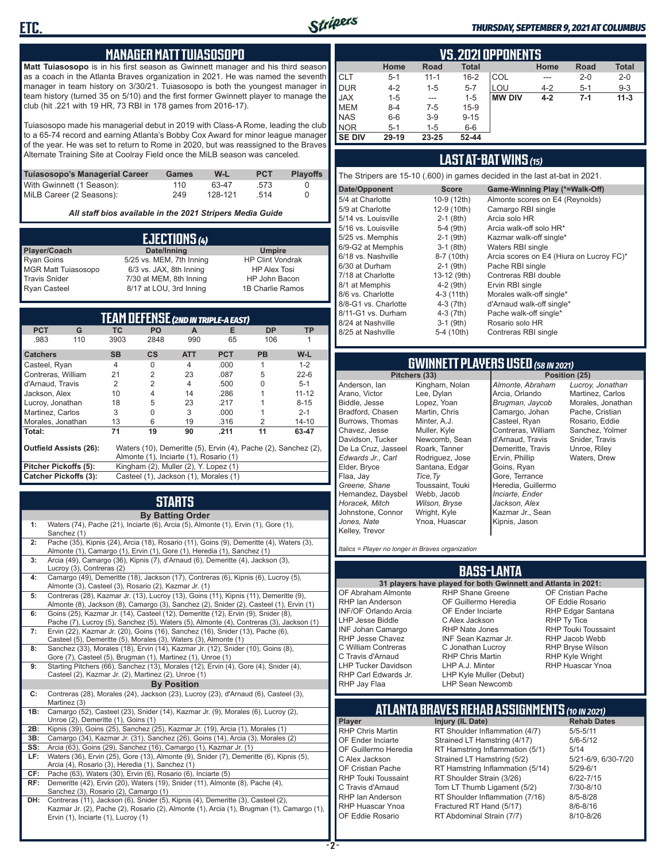

#### *THURSDAY, SEPTEMBER 9, 2021 AT COLUMBUS*

### **MANAGER MATT TUIASOSOPO**

**Matt Tuiasosopo** is in his first season as Gwinnett manager and his third season as a coach in the Atlanta Braves organization in 2021. He was named the seventh manager in team history on 3/30/21. Tuiasosopo is both the youngest manager in team history (turned 35 on 5/10) and the first former Gwinnett player to manage the club (hit .221 with 19 HR, 73 RBI in 178 games from 2016-17).

Tuiasosopo made his managerial debut in 2019 with Class-A Rome, leading the club to a 65-74 record and earning Atlanta's Bobby Cox Award for minor league manager of the year. He was set to return to Rome in 2020, but was reassigned to the Braves Alternate Training Site at Coolray Field once the MiLB season was canceled.

| Tuiasosopo's Managerial Career | Games | W-L     | <b>PCT</b> | <b>Plavoffs</b> |
|--------------------------------|-------|---------|------------|-----------------|
| With Gwinnett (1 Season):      | 110   | 63-47   | .573       |                 |
| MiLB Career (2 Seasons):       | 249   | 128-121 | -514       |                 |

*All staff bios available in the 2021 Stripers Media Guide*

| EJECTIONS (4)              |                          |                         |  |  |  |  |  |
|----------------------------|--------------------------|-------------------------|--|--|--|--|--|
| Player/Coach               | Date/Inning              | <b>Umpire</b>           |  |  |  |  |  |
| <b>Ryan Goins</b>          | 5/25 vs. MEM, 7th Inning | <b>HP Clint Vondrak</b> |  |  |  |  |  |
| <b>MGR Matt Tuiasosopo</b> | 6/3 vs. JAX, 8th Inning  | <b>HP Alex Tosi</b>     |  |  |  |  |  |
| <b>Travis Snider</b>       | 7/30 at MEM, 8th Inning  | HP John Bacon           |  |  |  |  |  |
| <b>Ryan Casteel</b>        | 8/17 at LOU, 3rd Inning  | 1B Charlie Ramos        |  |  |  |  |  |

| <b>TEAM DEFENSE (2ND IN TRIPLE-A EAST)</b> |                                                                                                 |                                        |                                       |                |            |           |           |
|--------------------------------------------|-------------------------------------------------------------------------------------------------|----------------------------------------|---------------------------------------|----------------|------------|-----------|-----------|
| <b>PCT</b>                                 | G                                                                                               | ТC                                     | <b>PO</b>                             | A              | Е          | <b>DP</b> | <b>TP</b> |
| .983                                       | 110                                                                                             | 3903                                   | 2848                                  | 990            | 65         | 106       |           |
| <b>Catchers</b>                            |                                                                                                 | <b>SB</b>                              | $\mathsf{cs}$                         | <b>ATT</b>     | <b>PCT</b> | <b>PB</b> | $W-L$     |
| Casteel, Ryan                              |                                                                                                 | 4                                      | $\Omega$                              | $\overline{4}$ | .000       | 1         | $1 - 2$   |
| Contreras, William                         |                                                                                                 | 21                                     | $\overline{2}$                        | 23             | .087       | 5         | $22 - 6$  |
| d'Arnaud, Travis                           |                                                                                                 | 2                                      | $\overline{2}$                        | 4              | .500       | 0         | $5 - 1$   |
| Jackson, Alex                              |                                                                                                 | 10                                     | 4                                     | 14             | .286       |           | $11 - 12$ |
| Lucroy, Jonathan                           |                                                                                                 | 18                                     | 5                                     | 23             | .217       |           | $8 - 15$  |
| Martinez, Carlos                           |                                                                                                 | 3                                      | $\Omega$                              | 3              | .000       |           | $2 - 1$   |
| Morales, Jonathan                          |                                                                                                 | 13                                     | 6                                     | 19             | .316       | 2         | $14 - 10$ |
| Total:                                     |                                                                                                 | 71                                     | 19                                    | 90             | .211       | 11        | 63-47     |
|                                            | <b>Outfield Assists (26):</b><br>Waters (10), Demeritte (5), Ervin (4), Pache (2), Sanchez (2), |                                        |                                       |                |            |           |           |
|                                            |                                                                                                 | Almonte (1), Inciarte (1), Rosario (1) |                                       |                |            |           |           |
| Pitcher Pickoffs (5):                      |                                                                                                 |                                        | Kingham (2), Muller (2), Y. Lopez (1) |                |            |           |           |
| <b>Catcher Pickoffs (3):</b>               |                                                                                                 | Casteel (1), Jackson (1), Morales (1)  |                                       |                |            |           |           |

## **STARTS**

|     | <b>By Batting Order</b>                                                                                                                                                                                              |
|-----|----------------------------------------------------------------------------------------------------------------------------------------------------------------------------------------------------------------------|
| 1:  | Waters (74), Pache (21), Inciarte (6), Arcia (5), Almonte (1), Ervin (1), Gore (1),<br>Sanchez (1)                                                                                                                   |
| 2:  | Pache (35), Kipnis (24), Arcia (18), Rosario (11), Goins (9), Demeritte (4), Waters (3),<br>Almonte (1), Camargo (1), Ervin (1), Gore (1), Heredia (1), Sanchez (1)                                                  |
| 3:  | Arcia (49), Camargo (36), Kipnis (7), d'Arnaud (6), Demeritte (4), Jackson (3),<br>Lucroy (3), Contreras (2)                                                                                                         |
| 4:  | Camargo (49), Demeritte (18), Jackson (17), Contreras (6), Kipnis (6), Lucroy (5),<br>Almonte (3), Casteel (3), Rosario (2), Kazmar Jr. (1)                                                                          |
| 5:  | Contreras (28), Kazmar Jr. (13), Lucroy (13), Goins (11), Kipnis (11), Demeritte (9),<br>Almonte (8), Jackson (8), Camargo (3), Sanchez (2), Snider (2), Casteel (1), Ervin (1)                                      |
| 6:  | Goins (25), Kazmar Jr. (14), Casteel (12), Demeritte (12), Ervin (9), Snider (8),<br>Pache (7), Lucroy (5), Sanchez (5), Waters (5), Almonte (4), Contreras (3), Jackson (1)                                         |
| 7:  | Ervin (22), Kazmar Jr. (20), Goins (16), Sanchez (16), Snider (13), Pache (6),<br>Casteel (5), Demeritte (5), Morales (3), Waters (3), Almonte (1)                                                                   |
| 8:  | Sanchez (33), Morales (18), Ervin (14), Kazmar Jr. (12), Snider (10), Goins (8),<br>Gore (7), Casteel (5), Brugman (1), Martinez (1), Unroe (1)                                                                      |
| 9:  | Starting Pitchers (66), Sanchez (13), Morales (12), Ervin (4), Gore (4), Snider (4),<br>Casteel (2), Kazmar Jr. (2), Martinez (2), Unroe (1)                                                                         |
|     | <b>By Position</b>                                                                                                                                                                                                   |
| c:  | Contreras (28), Morales (24), Jackson (23), Lucroy (23), d'Arnaud (6), Casteel (3),<br>Martinez (3)                                                                                                                  |
| 1B: | Camargo (52), Casteel (23), Snider (14), Kazmar Jr. (9), Morales (6), Lucroy (2),<br>Unroe (2), Demeritte (1), Goins (1)                                                                                             |
| 2B: | Kipnis (39), Goins (25), Sanchez (25), Kazmar Jr. (19), Arcia (1), Morales (1)                                                                                                                                       |
| 3B: | Camargo (34), Kazmar Jr. (31), Sanchez (26), Goins (14), Arcia (3), Morales (2)                                                                                                                                      |
| SS: | Arcia (63), Goins (29), Sanchez (16), Camargo (1), Kazmar Jr. (1)                                                                                                                                                    |
| LF: | Waters (36), Ervin (25), Gore (13), Almonte (9), Snider (7), Demeritte (6), Kipnis (5),<br>Arcia (4), Rosario (3), Heredia (1), Sanchez (1)                                                                          |
| CF: | Pache (63), Waters (30), Ervin (6), Rosario (6), Inciarte (5)                                                                                                                                                        |
| RF: | Demeritte (42), Ervin (20), Waters (19), Snider (11), Almonte (8), Pache (4),<br>Sanchez (3), Rosario (2), Camargo (1)                                                                                               |
| DH: | Contreras (11), Jackson (6), Snider (5), Kipnis (4), Demeritte (3), Casteel (2),<br>Kazmar Jr. (2), Pache (2), Rosario (2), Almonte (1), Arcia (1), Brugman (1), Camargo (1),<br>Ervin (1), Inciarte (1), Lucroy (1) |

| <b>VS.2021 OPPONENTS</b> |         |             |              |               |         |         |              |
|--------------------------|---------|-------------|--------------|---------------|---------|---------|--------------|
|                          | Home    | <b>Road</b> | <b>Total</b> |               | Home    | Road    | <b>Total</b> |
| <b>CLT</b>               | $5 - 1$ | $11 - 1$    | $16 - 2$     | COL           | ---     | $2 - 0$ | $2 - 0$      |
| <b>DUR</b>               | $4 - 2$ | 1-5         | $5 - 7$      | LOU           | $4 - 2$ | $5 - 1$ | $9 - 3$      |
| <b>JAX</b>               | $1 - 5$ | $- - -$     | $1 - 5$      | <b>MW DIV</b> | $4 - 2$ | $7-1$   | $11 - 3$     |
| <b>MEM</b>               | $8 - 4$ | $7-5$       | $15-9$       |               |         |         |              |
| <b>NAS</b>               | $6-6$   | $3-9$       | $9 - 15$     |               |         |         |              |
| <b>NOR</b>               | $5 - 1$ | 1-5         | $6-6$        |               |         |         |              |
| <b>SE DIV</b>            | 29-19   | 23-25       | 52-44        |               |         |         |              |

### **LAST AT-BAT WINS** *(15)*

The Stripers are 15-10 (.600) in games decided in the last at-bat in 2021.

| Date/Opponent        | <b>Score</b> | Game-Winning Play (*=Walk-Off)           |
|----------------------|--------------|------------------------------------------|
| 5/4 at Charlotte     | 10-9 (12th)  | Almonte scores on E4 (Reynolds)          |
| 5/9 at Charlotte     | 12-9 (10th)  | Camargo RBI single                       |
| 5/14 vs. Louisville  | $2-1$ (8th)  | Arcia solo HR                            |
| 5/16 vs. Louisville  | $5-4$ (9th)  | Arcia walk-off solo HR*                  |
| 5/25 vs. Memphis     | $2-1$ (9th)  | Kazmar walk-off single*                  |
| 6/9-G2 at Memphis    | $3-1$ (8th)  | Waters RBI single                        |
| 6/18 vs. Nashville   | 8-7 (10th)   | Arcia scores on E4 (Hiura on Lucroy FC)* |
| 6/30 at Durham       | $2-1$ (9th)  | Pache RBI single                         |
| 7/18 at Charlotte    | 13-12 (9th)  | Contreras RBI double                     |
| 8/1 at Memphis       | $4-2$ (9th)  | Ervin RBI single                         |
| 8/6 vs. Charlotte    | 4-3 (11th)   | Morales walk-off single*                 |
| 8/8-G1 vs. Charlotte | $4-3(7th)$   | d'Arnaud walk-off single*                |
| 8/11-G1 vs. Durham   | $4-3$ (7th)  | Pache walk-off single*                   |
| 8/24 at Nashville    | $3-1$ (9th)  | Rosario solo HR                          |
| 8/25 at Nashville    | 5-4 (10th)   | Contreras RBI single                     |
|                      |              |                                          |

## **GWINNETT PLAYERS USED** *(58 IN 2021)*

**Pitchers (33)** Anderson, Ian Arano, Victor Biddle, Jesse Bradford, Chasen Burrows, Thomas Chavez, Jesse Davidson, Tucker De La Cruz, Jasseel *Edwards Jr., Carl* Elder, Bryce Flaa, Jay *Greene, Shane*  Hernandez, Daysbel *Horacek, Mitch* Johnstone, Connor *Jones, Nate* Kelley, Trevor Lee, Dylan Lopez, Yoan Martin, Chris Minter, A.J. Muller, Kyle Roark, Tanner *Tice,Ty* Webb, Jacob *Wilson, Bryse* Wright, Kyle

Kingham, Nolan Newcomb, Sean Rodriguez, Jose Santana, Edgar Toussaint, Touki Ynoa, Huascar *Almonte, Abraham* Arcia, Orlando *Brugman, Jaycob* Camargo, Johan Casteel, Ryan Contreras, William d'Arnaud, Travis Demeritte, Travis Ervin, Phillip Goins, Ryan Gore, Terrance Heredia, Guillermo *Inciarte, Ender Jackson, Alex* Kazmar Jr., Sean Kipnis, Jason

*Lucroy, Jonathan* Martinez, Carlos Morales, Jonathan Pache, Cristian Rosario, Eddie Sanchez, Yolmer Snider, Travis Unroe, Riley Waters, Drew

*Italics = Player no longer in Braves organization*

### **BASS-LANTA**

OF Abraham Almonte RHP Ian Anderson INF/OF Orlando Arcia LHP Jesse Biddle INF Johan Camargo RHP Jesse Chavez C William Contreras C Travis d'Arnaud LHP Tucker Davidson C Alex Jackson

**31 players have played for both Gwinnett and Atlanta in 2021:** RHP Shane Greene OF Guillermo Heredia OF Ender Inciarte RHP Nate Jones INF Sean Kazmar Jr. C Jonathan Lucroy RHP Chris Martin LHP A.J. Minter LHP Kyle Muller (Debut) LHP Sean Newcomb

OF Cristian Pache OF Eddie Rosario RHP Edgar Santana RHP Ty Tice RHP Touki Toussaint RHP Jacob Webb RHP Bryse Wilson RHP Kyle Wright RHP Huascar Ynoa

## **ATLANTA BRAVES REHAB ASSIGNMENTS** *(10 IN 2021)*

**Player Injury (IL Date)** 

RHP Carl Edwards Jr. RHP Jay Flaa

RHP Chris Martin RT Shoulder Inflammation (4/7) 5/5-5/11 OF Ender Inciarte Strained LT Hamstring (4/17) 5/6-5<br>OF Guillermo Heredia RT Hamstring Inflammation (5/1) 5/14 RT Hamstring Inflammation (5/1) 5/14<br>Strained LT Hamstring (5/2) 5/21-6/9, 6/30-7/20 C Alex Jackson Strained LT Hamstring (5/2) OF Cristian Pache RT Hamstring Inflammation (5/14) 5/29-6/1<br>RHP Touki Toussaint RT Shoulder Strain (3/26) 6/22-7/15 RHP Touki Toussaint RT Shoulder Strain (3/26) 6/22-7/15<br>C. Travis d'Arnaud C. Torn LT Thumb Ligament (5/2) 6/10-8/10 Torn LT Thumb Ligament (5/2) RHP Ian Anderson RT Shoulder Inflammation (7/16) 8/5-8/28<br>RHP Huascar Ynoa Fractured RT Hand (5/17) 8/6-8/16 RHP Huascar Ynoa Fractured RT Hand (5/17) 8/6-8/16 RT Abdominal Strain (7/7)

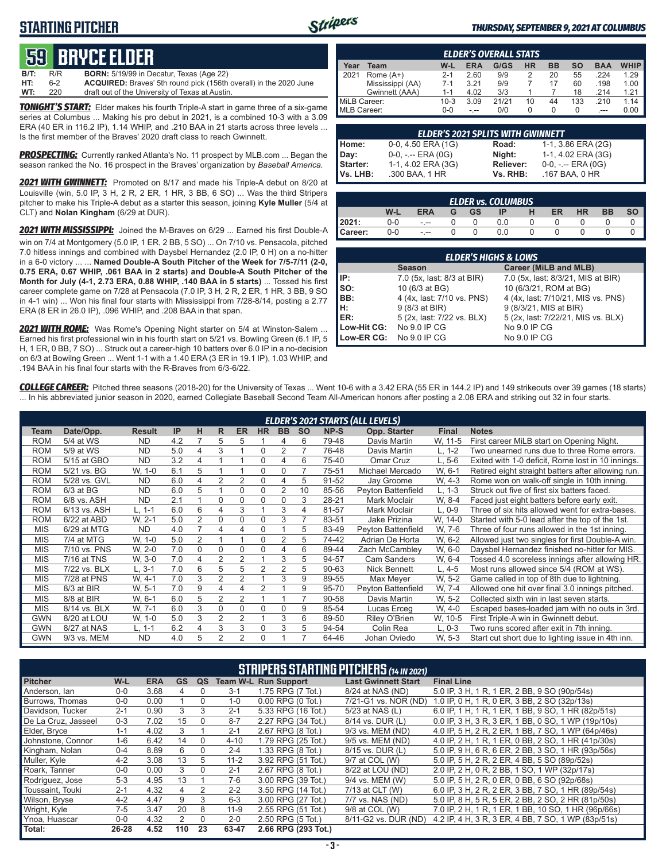## **STARTING PITCHER**



#### *THURSDAY, SEPTEMBER 9, 2021 AT COLUMBUS*

# **59****bryce elder**

**B/T:** R/R **BORN:** 5/19/99 in Decatur, Texas (Age 22) **ACQUIRED:** Braves' 5th round pick (156th overall) in the 2020 June **WT:** 220 draft out of the University of Texas at Austin.

*TONIGHT'S START:* Elder makes his fourth Triple-A start in game three of a six-game series at Columbus ... Making his pro debut in 2021, is a combined 10-3 with a 3.09 ERA (40 ER in 116.2 IP), 1.14 WHIP, and .210 BAA in 21 starts across three levels ... Is the first member of the Braves' 2020 draft class to reach Gwinnett.

*PROSPECTING:* Currently ranked Atlanta's No. 11 prospect by MLB.com ... Began the season ranked the No. 16 prospect in the Braves' organization by *Baseball America.*

*2021 WITH GWINNETT:* Promoted on 8/17 and made his Triple-A debut on 8/20 at Louisville (win, 5.0 IP, 3 H, 2 R, 2 ER, 1 HR, 3 BB, 6 SO) ... Was the third Stripers pitcher to make his Triple-A debut as a starter this season, joining **Kyle Muller** (5/4 at CLT) and **Nolan Kingham** (6/29 at DUR).

*2021 WITH MISSISSIPPI:* Joined the M-Braves on 6/29 ... Earned his first Double-A win on 7/4 at Montgomery (5.0 IP, 1 ER, 2 BB, 5 SO) ... On 7/10 vs. Pensacola, pitched 7.0 hitless innings and combined with Daysbel Hernandez (2.0 IP, 0 H) on a no-hitter in a 6-0 victory ... ... **Named Double-A South Pitcher of the Week for 7/5-7/11 (2-0, 0.75 ERA, 0.67 WHIP, .061 BAA in 2 starts) and Double-A South Pitcher of the Month for July (4-1, 2.73 ERA, 0.88 WHIP, .140 BAA in 5 starts)** ... Tossed his first career complete game on 7/28 at Pensacola (7.0 IP, 3 H, 2 R, 2 ER, 1 HR, 3 BB, 9 SO in 4-1 win) ... Won his final four starts with Mississippi from 7/28-8/14, posting a 2.77 ERA (8 ER in 26.0 IP), .096 WHIP, and .208 BAA in that span.

*2021 WITH ROME:* Was Rome's Opening Night starter on 5/4 at Winston-Salem ... Earned his first professional win in his fourth start on 5/21 vs. Bowling Green (6.1 IP, 5 H, 1 ER, 0 BB, 7 SO) ... Struck out a career-high 10 batters over 6.0 IP in a no-decision on 6/3 at Bowilng Green ... Went 1-1 with a 1.40 ERA (3 ER in 19.1 IP), 1.03 WHIP, and .194 BAA in his final four starts with the R-Braves from 6/3-6/22.

| <b>ELDER'S OVERALL STATS</b> |                  |         |      |       |           |    |     |            |             |
|------------------------------|------------------|---------|------|-------|-----------|----|-----|------------|-------------|
| Year                         | Team             | $W-L$   | ERA  | G/GS  | <b>HR</b> | BB | SΟ  | <b>BAA</b> | <b>WHIP</b> |
| 2021                         | Rome $(A+)$      | $2 - 1$ | 2.60 | 9/9   |           | 20 | 55  | .224       | 1.29        |
|                              | Mississippi (AA) | $7-1$   | 3.21 | 9/9   |           | 17 | 60  | .198       | 1.00        |
|                              | Gwinnett (AAA)   | $1 - 1$ | 4.02 | 3/3   |           |    | 18  | .214       | 1.21        |
| MiLB Career:                 |                  | 10-3    | 3.09 | 21/21 | 10        | 44 | 133 | .210       | 1 14        |
| MLB Career:                  |                  | 0-0     |      | 0/0   |           | 0  | 0   | $---$      | 0.00        |

|                 | <b>ELDER'S 2021 SPLITS WITH GWINNETT</b> |                  |                       |
|-----------------|------------------------------------------|------------------|-----------------------|
| Home:           | 0-0, 4.50 ERA (1G)                       | Road:            | 1-1, 3.86 ERA (2G)    |
| Day:            | $0-0, - -$ ERA $(0G)$                    | Night:           | 1-1, 4.02 ERA (3G)    |
| <b>Starter:</b> | 1-1, 4.02 ERA (3G)                       | <b>Reliever:</b> | $0-0, - -$ ERA $(0G)$ |
| <b>Vs. LHB:</b> | .300 BAA, 1 HR                           | Vs. RHB:         | .167 BAA, 0 HR        |

| <b>ELDER vs. COLUMBUS</b> |     |            |  |           |     |  |    |           |    |    |  |
|---------------------------|-----|------------|--|-----------|-----|--|----|-----------|----|----|--|
|                           | W-L | <b>ERA</b> |  | <b>GS</b> | IP  |  | ER | <b>HR</b> | ВB | SΟ |  |
| 2021:                     | 0-0 | $- - -$    |  |           | 0.0 |  |    |           |    |    |  |
| Career:                   | 0-0 | $- - -$    |  |           | 0.0 |  |    |           |    |    |  |

| <b>ELDER'S HIGHS &amp; LOWS</b> |                            |                                    |  |  |  |  |  |  |  |
|---------------------------------|----------------------------|------------------------------------|--|--|--|--|--|--|--|
|                                 | <b>Season</b>              | Career (MiLB and MLB)              |  |  |  |  |  |  |  |
| IIP:                            | 7.0 (5x, last: 8/3 at BIR) | 7.0 (5x, last: 8/3/21, MIS at BIR) |  |  |  |  |  |  |  |
| Iso:                            | 10 (6/3 at BG)             | 10 (6/3/21, ROM at BG)             |  |  |  |  |  |  |  |
| IBB:                            | 4 (4x, last: 7/10 vs. PNS) | 4 (4x, last: 7/10/21, MIS vs. PNS) |  |  |  |  |  |  |  |
| Iн:                             | 9 (8/3 at BIR)             | 9 (8/3/21, MIS at BIR)             |  |  |  |  |  |  |  |
| <b>IER:</b>                     | 5 (2x, last: 7/22 vs. BLX) | 5 (2x, last: 7/22/21, MIS vs. BLX) |  |  |  |  |  |  |  |
| Low-Hit CG:                     | No 9.0 IP CG               | No 9.0 IP CG                       |  |  |  |  |  |  |  |
| Low-ER CG:                      | No 9.0 IP CG               | No 9.0 IP CG                       |  |  |  |  |  |  |  |

*COLLEGE CAREER:* Pitched three seasons (2018-20) for the University of Texas ... Went 10-6 with a 3.42 ERA (55 ER in 144.2 IP) and 149 strikeouts over 39 games (18 starts) ... In his abbreviated junior season in 2020, earned Collegiate Baseball Second Team All-American honors after posting a 2.08 ERA and striking out 32 in four starts.

|            |              |               |     |                |                |                |                |                |           |           |                    |              | <b>ELDER'S 2021 STARTS (ALL LEVELS)</b>            |  |  |  |  |  |  |  |  |  |  |  |  |
|------------|--------------|---------------|-----|----------------|----------------|----------------|----------------|----------------|-----------|-----------|--------------------|--------------|----------------------------------------------------|--|--|--|--|--|--|--|--|--|--|--|--|
| Team       | Date/Opp.    | <b>Result</b> | IP  | н              | R              | <b>ER</b>      | <b>HR</b>      | <b>BB</b>      | <b>SO</b> | NP-S      | Opp. Starter       | <b>Final</b> | <b>Notes</b>                                       |  |  |  |  |  |  |  |  |  |  |  |  |
| <b>ROM</b> | 5/4 at WS    | <b>ND</b>     | 4.2 |                | 5              | 5              |                | 4              | 6         | 79-48     | Davis Martin       | W, 11-5      | First career MiLB start on Opening Night.          |  |  |  |  |  |  |  |  |  |  |  |  |
| <b>ROM</b> | 5/9 at WS    | <b>ND</b>     | 5.0 | 4              | 3              |                | 0              | 2              |           | 76-48     | Davis Martin       | L. 1-2       | Two unearned runs due to three Rome errors.        |  |  |  |  |  |  |  |  |  |  |  |  |
| <b>ROM</b> | 5/15 at GBO  | <b>ND</b>     | 3.2 | 4              |                |                | 0              | 4              | 6         | 75-40     | Omar Cruz          | L. 5-6       | Exited with 1-0 deficit, Rome lost in 10 innings.  |  |  |  |  |  |  |  |  |  |  |  |  |
| <b>ROM</b> | 5/21 vs. BG  | W, 1-0        | 6.1 | 5              |                |                | 0              | 0              |           | 75-51     | Michael Mercado    | W. 6-1       | Retired eight straight batters after allowing run. |  |  |  |  |  |  |  |  |  |  |  |  |
| <b>ROM</b> | 5/28 vs. GVL | <b>ND</b>     | 6.0 | 4              | 2              | $\overline{2}$ | 0              | 4              | 5         | 91-52     | Jay Groome         | W, 4-3       | Rome won on walk-off single in 10th inning.        |  |  |  |  |  |  |  |  |  |  |  |  |
| <b>ROM</b> | $6/3$ at BG  | <b>ND</b>     | 6.0 | 5              |                | 0              | 0              | $\overline{2}$ | 10        | 85-56     | Pevton Battenfield | $L. 1-3$     | Struck out five of first six batters faced.        |  |  |  |  |  |  |  |  |  |  |  |  |
| <b>ROM</b> | 6/8 vs. ASH  | <b>ND</b>     | 2.1 |                | 0              | $\Omega$       | 0              | 0              | 3         | 28-21     | Mark Moclair       | W. 8-4       | Faced just eight batters before early exit.        |  |  |  |  |  |  |  |  |  |  |  |  |
| <b>ROM</b> | 6/13 vs. ASH | $L, 1-1$      | 6.0 | 6              | 4              | 3              |                | 3              | 4         | 81-57     | Mark Moclair       | $L, 0-9$     | Three of six hits allowed went for extra-bases.    |  |  |  |  |  |  |  |  |  |  |  |  |
| <b>ROM</b> | 6/22 at ABD  | W. 2-1        | 5.0 | $\overline{2}$ | 0              | 0              | 0              | 3              |           | 83-51     | Jake Prizina       | W, 14-0      | Started with 5-0 lead after the top of the 1st.    |  |  |  |  |  |  |  |  |  |  |  |  |
| <b>MIS</b> | 6/29 at MTG  | <b>ND</b>     | 4.0 | $\overline{7}$ | 4              | 4              | 0              |                | 5         | 83-49     | Peyton Battenfield | W. 7-6       | Three of four runs allowed in the 1st inning.      |  |  |  |  |  |  |  |  |  |  |  |  |
| <b>MIS</b> | 7/4 at MTG   | W. 1-0        | 5.0 | $\overline{2}$ |                |                | 0              | $\overline{2}$ | 5         | 74-42     | Adrian De Horta    | W. 6-2       | Allowed just two singles for first Double-A win.   |  |  |  |  |  |  |  |  |  |  |  |  |
| <b>MIS</b> | 7/10 vs. PNS | W. 2-0        | 7.0 | 0              | 0              | $\Omega$       | 0              | 4              | 6         | 89-44     | Zach McCambley     | W, 6-0       | Daysbel Hernandez finished no-hitter for MIS.      |  |  |  |  |  |  |  |  |  |  |  |  |
| <b>MIS</b> | 7/16 at TNS  | W. 3-0        | 7.0 | 4              | 2              | 2              |                | 3              | 5         | 94-57     | <b>Cam Sanders</b> | W. 6-4       | Tossed 4.0 scoreless innings after allowing HR.    |  |  |  |  |  |  |  |  |  |  |  |  |
| <b>MIS</b> | 7/22 vs. BLX | L, 3-1        | 7.0 | 6              | 5              | 5              | $\overline{2}$ | $\overline{2}$ | 5         | $90 - 63$ | Nick Bennett       | L. 4-5       | Most runs allowed since 5/4 (ROM at WS).           |  |  |  |  |  |  |  |  |  |  |  |  |
| <b>MIS</b> | 7/28 at PNS  | W. 4-1        | 7.0 | 3              | $\overline{2}$ | $\overline{2}$ |                | 3              | 9         | 89-55     | Max Meyer          | W. 5-2       | Game called in top of 8th due to lightning.        |  |  |  |  |  |  |  |  |  |  |  |  |
| <b>MIS</b> | 8/3 at BIR   | W. 5-1        | 7.0 | 9              | 4              | 4              | 2              |                | 9         | 95-70     | Peyton Battenfield | W. 7-4       | Allowed one hit over final 3.0 innings pitched.    |  |  |  |  |  |  |  |  |  |  |  |  |
| <b>MIS</b> | 8/8 at BIR   | W, 6-1        | 6.0 | 5              | 2              | 2              |                |                |           | 90-58     | Davis Martin       | W. 5-2       | Collected sixth win in last seven starts.          |  |  |  |  |  |  |  |  |  |  |  |  |
| <b>MIS</b> | 8/14 vs. BLX | W. 7-1        | 6.0 | 3              | $\Omega$       | 0              | 0              | $\Omega$       | 9         | 85-54     | Lucas Erceg        | W, 4-0       | Escaped bases-loaded jam with no outs in 3rd.      |  |  |  |  |  |  |  |  |  |  |  |  |
| <b>GWN</b> | 8/20 at LOU  | W, 1-0        | 5.0 | 3              | 2              | $\overline{2}$ |                | 3              | 6         | 89-50     | Riley O'Brien      | W, 10-5      | First Triple-A win in Gwinnett debut.              |  |  |  |  |  |  |  |  |  |  |  |  |
| <b>GWN</b> | 8/27 at NAS  | L. 1-1        | 6.2 | 4              | 3              | 3              | 0              | 3              | 5         | 94-54     | Colin Rea          | $L. 0-3$     | Two runs scored after exit in 7th inning.          |  |  |  |  |  |  |  |  |  |  |  |  |
| <b>GWN</b> | 9/3 vs. MEM  | <b>ND</b>     | 4.0 | 5              | $\overline{2}$ | $\overline{2}$ | 0              |                |           | 64-46     | Johan Oviedo       | W. 5-3       | Start cut short due to lighting issue in 4th inn.  |  |  |  |  |  |  |  |  |  |  |  |  |

| <b>STRIPERS STARTING PITCHERS (14 IN 2021)</b> |         |            |           |          |          |                             |                            |                                                     |  |  |  |
|------------------------------------------------|---------|------------|-----------|----------|----------|-----------------------------|----------------------------|-----------------------------------------------------|--|--|--|
| <b>Pitcher</b>                                 | W-L     | <b>ERA</b> | <b>GS</b> | QS       |          | <b>Team W-L Run Support</b> | <b>Last Gwinnett Start</b> | <b>Final Line</b>                                   |  |  |  |
| Anderson, lan                                  | $0-0$   | 3.68       | 4         | 0        | $3 - 1$  | 1.75 RPG (7 Tot.)           | 8/24 at NAS (ND)           | 5.0 IP, 3 H, 1 R, 1 ER, 2 BB, 9 SO (90p/54s)        |  |  |  |
| Burrows, Thomas                                | $0 - 0$ | 0.00       |           | 0        | $1 - 0$  | $0.00$ RPG $(0$ Tot.)       | 7/21-G1 vs. NOR (ND)       | 1.0 IP, 0 H, 1 R, 0 ER, 3 BB, 2 SO (32p/13s)        |  |  |  |
| Davidson, Tucker                               | $2 - 1$ | 0.90       | 3         | 3        | $2 - 1$  | 5.33 RPG (16 Tot.)          | 5/23 at NAS (L)            | 6.0 IP, 1 H, 1 R, 1 ER, 1 BB, 9 SO, 1 HR (82p/51s)  |  |  |  |
| De La Cruz. Jasseel                            | $0 - 3$ | 7.02       | 15        | $\Omega$ | $8 - 7$  | 2.27 RPG (34 Tot.)          | 8/14 vs. DUR (L)           | 0.0 IP. 3 H. 3 R. 3 ER. 1 BB. 0 SO. 1 WP (19p/10s)  |  |  |  |
| Elder, Bryce                                   | $1 - 1$ | 4.02       | 3         |          | $2 - 1$  | 2.67 RPG (8 Tot.)           | 9/3 vs. MEM (ND)           | 4.0 IP, 5 H, 2 R, 2 ER, 1 BB, 7 SO, 1 WP (64p/46s)  |  |  |  |
| Johnstone, Connor                              | $1 - 6$ | 6.42       | 14        | $\Omega$ | $4 - 10$ | 1.79 RPG (25 Tot.)          | 9/5 vs. MEM (ND)           | 4.0 IP, 2 H, 1 R, 1 ER, 0 BB, 2 SO, 1 HR (41p/30s)  |  |  |  |
| Kingham, Nolan                                 | $0 - 4$ | 8.89       | 6         | $\Omega$ | $2 - 4$  | 1.33 RPG (8 Tot.)           | 8/15 vs. DUR (L)           | 5.0 IP, 9 H, 6 R, 6 ER, 2 BB, 3 SO, 1 HR (93p/56s)  |  |  |  |
| Muller, Kyle                                   | $4 - 2$ | 3.08       | 13        | 5.       | $11 - 2$ | 3.92 RPG (51 Tot.)          | 9/7 at COL (W)             | 5.0 IP, 5 H, 2 R, 2 ER, 4 BB, 5 SO (89p/52s)        |  |  |  |
| Roark, Tanner                                  | $0 - 0$ | 0.00       | 3         | $\Omega$ | $2 - 1$  | 2.67 RPG (8 Tot.)           | 8/22 at LOU (ND)           | 2.0 IP, 2 H, 0 R, 2 BB, 1 SO, 1 WP (32p/17s)        |  |  |  |
| Rodriguez, Jose                                | $5-3$   | 4.95       | 13        |          | $7-6$    | 3.00 RPG (39 Tot.)          | 9/4 vs. MEM (W)            | 5.0 IP, 5 H, 2 R, 0 ER, 0 BB, 6 SO (92p/68s)        |  |  |  |
| Toussaint. Touki                               | $2 - 1$ | 4.32       | 4         | 2        | $2 - 2$  | 3.50 RPG (14 Tot.)          | 7/13 at CLT (W)            | 6.0 IP, 3 H, 2 R, 2 ER, 3 BB, 7 SO, 1 HR (89p/54s)  |  |  |  |
| Wilson, Bryse                                  | $4 - 2$ | 4.47       | 9         | 3        | 6-3      | 3.00 RPG (27 Tot.)          | 7/7 vs. NAS (ND)           | 5.0 IP, 8 H, 5 R, 5 ER, 2 BB, 2 SO, 2 HR (81p/50s)  |  |  |  |
| Wright, Kyle                                   | $7 - 5$ | 3.47       | 20        | 8        | $11 - 9$ | 2.55 RPG (51 Tot.)          | 9/8 at COL (W)             | 7.0 IP, 2 H, 1 R, 1 ER, 1 BB, 10 SO, 1 HR (96p/66s) |  |  |  |
| Ynoa. Huascar                                  | $0 - 0$ | 4.32       | 2         | $\Omega$ | $2 - 0$  | 2.50 RPG (5 Tot.)           | 8/11-G2 vs. DUR (ND)       | 4.2 IP, 4 H, 3 R, 3 ER, 4 BB, 7 SO, 1 WP (83p/51s)  |  |  |  |
| Total:                                         | 26-28   | 4.52       | 110       | 23       | 63-47    | 2.66 RPG (293 Tot.)         |                            |                                                     |  |  |  |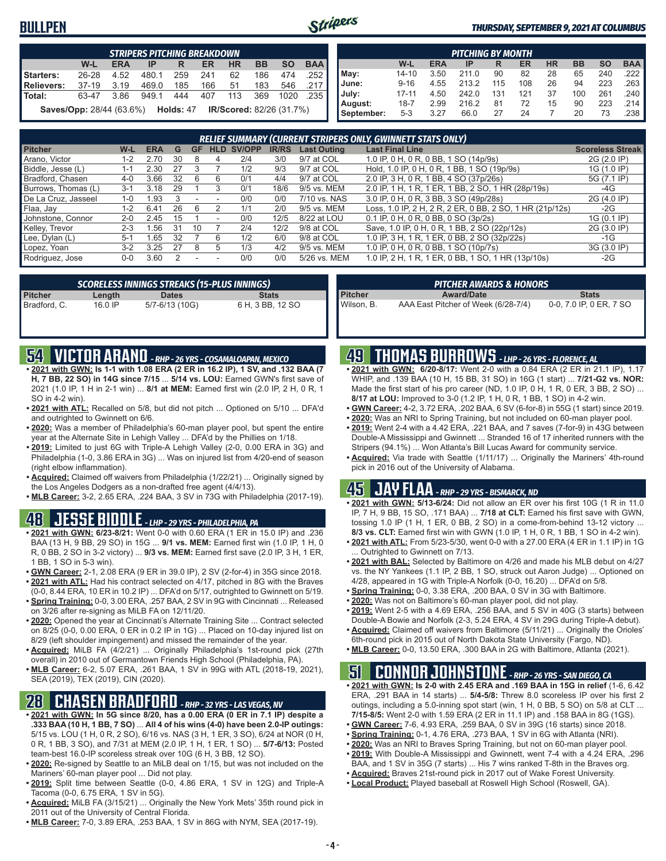### **BULLPEN**



#### *THURSDAY, SEPTEMBER 9, 2021 AT COLUMBUS*

| <b>STRIPERS PITCHING BREAKDOWN</b> |                                 |            |       |                                           |     |           |           |           |            |
|------------------------------------|---------------------------------|------------|-------|-------------------------------------------|-----|-----------|-----------|-----------|------------|
|                                    | W-L                             | <b>ERA</b> | IP    | R                                         | ER  | <b>HR</b> | <b>BB</b> | <b>SO</b> | <b>BAA</b> |
| Starters:                          | 26-28                           | 4.52       | 480.1 | 259                                       | 241 | 62        | 186       | 474       | .252       |
| Relievers:                         | $37-19$                         | 3.19       | 469.0 | 185                                       | 166 | 51        | 183       | 546       | .217 I     |
| <b>Total:</b>                      | 63-47                           | 3.86       | 949.1 | 444                                       | 407 | 113       | 369       | 1020      | .235       |
|                                    | <b>Saves/Opp: 28/44 (63.6%)</b> |            |       | <b>Holds: 47 IR/Scored: 82/26 (31.7%)</b> |     |           |           |           |            |

| <b>PITCHING BY MONTH</b> |           |            |       |     |     |           |           |           |                       |  |  |
|--------------------------|-----------|------------|-------|-----|-----|-----------|-----------|-----------|-----------------------|--|--|
|                          | W-L       | <b>ERA</b> | IP    | R   | ER  | <b>HR</b> | <b>BB</b> | <b>SO</b> | <b>BAA</b>            |  |  |
| May:                     | $14 - 10$ | 3.50       | 211.0 | 90  | 82  | 28        | 65        | 240       | $.222$ $\blacksquare$ |  |  |
| June:                    | $9 - 16$  | 4.55       | 213.2 | 115 | 108 | 26        | 94        | 223       | $.263$ $\blacksquare$ |  |  |
| July:                    | $17 - 11$ | 4.50       | 242.0 | 131 | 121 | 37        | 100       | 261       | .240                  |  |  |
| August:                  | $18 - 7$  | 2.99       | 216.2 | 81  | 72  | 15        | 90        | 223       | .214 I                |  |  |
| September:               | $5 - 3$   | 3.27       | 66.0  | 27  | 24  |           | 20        | 73        | .238                  |  |  |

|                     |         |            |    |    |            |        |              |                    | <b>RELIEF SUMMARY (CURRENT STRIPERS ONLY, GWINNETT STATS ONLY)</b> |                         |
|---------------------|---------|------------|----|----|------------|--------|--------------|--------------------|--------------------------------------------------------------------|-------------------------|
| <b>Pitcher</b>      | W-L     | <b>ERA</b> | G  | GF | <b>HLD</b> | SV/OPP | <b>IR/RS</b> | <b>Last Outing</b> | <b>Last Final Line</b>                                             | <b>Scoreless Streak</b> |
| Arano, Victor       | 1-2     | 2.70       | 30 |    | 4          | 2/4    | 3/0          | 9/7 at COL         | 1.0 IP, 0 H, 0 R, 0 BB, 1 SO (14p/9s)                              | 2G (2.0 IP)             |
| Biddle, Jesse (L)   | 1-1     | 2.30       | 27 |    |            | 1/2    | 9/3          | 9/7 at COL         | Hold, 1.0 IP, 0 H, 0 R, 1 BB, 1 SO (19p/9s)                        | 1G (1.0 IP)             |
| Bradford, Chasen    | $4 - 0$ | 3.66       | 32 | 6  | 6          | 0/1    | 4/4          | 9/7 at COL         | 2.0 IP, 3 H, 0 R, 1 BB, 4 SO (37p/26s)                             | 5G (7.1 IP)             |
| Burrows, Thomas (L) | $3-1$   | 3.18       | 29 |    |            | 0/1    | 18/6         | 9/5 vs. MEM        | 2.0 IP, 1 H, 1 R, 1 ER, 1 BB, 2 SO, 1 HR (28p/19s)                 | -4G                     |
| De La Cruz, Jasseel | $1 - 0$ | .93        |    |    |            | 0/0    | 0/0          | 7/10 vs. NAS       | 3.0 IP, 0 H, 0 R, 3 BB, 3 SO (49p/28s)                             | 2G (4.0 IP)             |
| Flaa, Jay           | $1 - 2$ | 6.41       | 26 | 6  |            | 1/1    | 2/0          | 9/5 vs. MEM        | Loss, 1.0 IP, 2 H, 2 R, 2 ER, 0 BB, 2 SO, 1 HR (21p/12s)           | $-2G$                   |
| Johnstone, Connor   | $2 - 0$ | 2.45       | 15 |    |            | 0/0    | 12/5         | 8/22 at LOU        | 0.1 IP, 0 H, 0 R, 0 BB, 0 SO (3p/2s)                               | 1G (0.1 IP)             |
| Kelley, Trevor      | $2 - 3$ | .56        | 31 | 10 |            | 2/4    | 12/2         | 9/8 at COL         | Save, 1.0 IP, 0 H, 0 R, 1 BB, 2 SO (22p/12s)                       | 2G (3.0 IP)             |
| Lee, Dylan (L)      | $5-1$   | .65        | 32 |    | 6          | 1/2    | 6/0          | 9/8 at COL         | 1.0 IP, 3 H, 1 R, 1 ER, 0 BB, 2 SO (32p/22s)                       | $-1G$                   |
| Lopez, Yoan         | $3 - 2$ | 3.25       | 27 | 8  | :5         | 1/3    | 4/2          | 9/5 vs. MEM        | 1.0 IP, 0 H, 0 R, 0 BB, 1 SO (10p/7s)                              | 3G (3.0 IP)             |
| Rodriguez, Jose     | 0-0     | 3.60       |    |    |            | 0/0    | 0/0          | 5/26 vs. MEM       | 'SO<br>1.0 IP, 2 H, 1 R, 1 ER, 0 BB, 1<br>1 HR (13p/10s)           | $-2G$                   |

| SCORELESS INNINGS STREAKS (15-PLUS INNINGS) |           |                |                  |  |  |  |  |  |
|---------------------------------------------|-----------|----------------|------------------|--|--|--|--|--|
| Pitcher                                     | Length    | <b>Dates</b>   | <b>Stats</b>     |  |  |  |  |  |
| l Bradford. C.                              | $16.0$ IP | 5/7-6/13 (10G) | 6 H, 3 BB, 12 SO |  |  |  |  |  |

|                | ' PITCHER AWARDS & HONORS ,         |                         |
|----------------|-------------------------------------|-------------------------|
| <b>Pitcher</b> | <b>Award/Date</b>                   | <b>Stats</b>            |
| Wilson, B.     | AAA East Pitcher of Week (6/28-7/4) | 0-0, 7.0 IP, 0 ER, 7 SO |

### **54 VICTOR ARANO** *- RHP - 26 YRS - COSAMALOAPAN, MEXICO*

- **• 2021 with GWN: Is 1-1 with 1.08 ERA (2 ER in 16.2 IP), 1 SV, and .132 BAA (7 H, 7 BB, 22 SO) in 14G since 7/15** ... **5/14 vs. LOU:** Earned GWN's first save of 2021 (1.0 IP, 1 H in 2-1 win) ... **8/1 at MEM:** Earned first win (2.0 IP, 2 H, 0 R, 1 SO in 4-2 win).
- **• 2021 with ATL:** Recalled on 5/8, but did not pitch ... Optioned on 5/10 ... DFA'd and outrighted to Gwinnett on 6/6.
- **• 2020:** Was a member of Philadelphia's 60-man player pool, but spent the entire year at the Alternate Site in Lehigh Valley ... DFA'd by the Phillies on 1/18.
- **• 2019:** Limited to just 6G with Triple-A Lehigh Valley (2-0, 0.00 ERA in 3G) and Philadelphia (1-0, 3.86 ERA in 3G) ... Was on injured list from 4/20-end of season (right elbow inflammation).
- **• Acquired:** Claimed off waivers from Philadelphia (1/22/21) ... Originally signed by the Los Angeles Dodgers as a non-drafted free agent (4/4/13).
- **• MLB Career:** 3-2, 2.65 ERA, .224 BAA, 3 SV in 73G with Philadelphia (2017-19).

### **48 JESSE BIDDLE** *- LHP - 29 YRS - PHILADELPHIA, PA*

- **• 2021 with GWN: 6/23-8/21:** Went 0-0 with 0.60 ERA (1 ER in 15.0 IP) and .236 BAA (13 H, 9 BB, 29 SO) in 15G ... **9/1 vs. MEM:** Earned first win (1.0 IP, 1 H, 0 R, 0 BB, 2 SO in 3-2 victory) ... **9/3 vs. MEM:** Earned first save (2.0 IP, 3 H, 1 ER, 1 BB, 1 SO in 5-3 win).
- **• GWN Career:** 2-1, 2.08 ERA (9 ER in 39.0 IP), 2 SV (2-for-4) in 35G since 2018. **• 2021 with ATL:** Had his contract selected on 4/17, pitched in 8G with the Braves
- (0-0, 8.44 ERA, 10 ER in 10.2 IP) ... DFA'd on 5/17, outrighted to Gwinnett on 5/19. **• Spring Training:** 0-0, 3.00 ERA, .257 BAA, 2 SV in 9G with Cincinnati ... Released on 3/26 after re-signing as MiLB FA on 12/11/20.
- **• 2020:** Opened the year at Cincinnati's Alternate Training Site ... Contract selected on 8/25 (0-0, 0.00 ERA, 0 ER in 0.2 IP in 1G) ... Placed on 10-day injured list on 8/29 (left shoulder impingement) and missed the remainder of the year.
- **• Acquired:** MiLB FA (4/2/21) ... Originally Philadelphia's 1st-round pick (27th overall) in 2010 out of Germantown Friends High School (Philadelphia, PA).
- **• MLB Career:** 6-2, 5.07 ERA, .261 BAA, 1 SV in 99G with ATL (2018-19, 2021), SEA (2019), TEX (2019), CIN (2020).

### **28 CHASEN BRADFORD** *- RHP - 32 YRS - LAS VEGAS, NV*

- **• 2021 with GWN: In 5G since 8/20, has a 0.00 ERA (0 ER in 7.1 IP) despite a .333 BAA (10 H, 1 BB, 7 SO)** ... **All 4 of his wins (4-0) have been 2.0-IP outings:** 5/15 vs. LOU (1 H, 0 R, 2 SO), 6/16 vs. NAS (3 H, 1 ER, 3 SO), 6/24 at NOR (0 H, 0 R, 1 BB, 3 SO), and 7/31 at MEM (2.0 IP, 1 H, 1 ER, 1 SO) ... **5/7-6/13:** Posted team-best 16.0-IP scoreless streak over 10G (6 H, 3 BB, 12 SO).
- **• 2020:** Re-signed by Seattle to an MiLB deal on 1/15, but was not included on the Mariners' 60-man player pool ... Did not play.
- **• 2019:** Split time between Seattle (0-0, 4.86 ERA, 1 SV in 12G) and Triple-A Tacoma (0-0, 6.75 ERA, 1 SV in 5G).
- **• Acquired:** MiLB FA (3/15/21) ... Originally the New York Mets' 35th round pick in 2011 out of the University of Central Florida.
- **• MLB Career:** 7-0, 3.89 ERA, .253 BAA, 1 SV in 86G with NYM, SEA (2017-19).

### **49 THOMAS BURROWS** *- LHP - 26 YRS - FLORENCE, AL*

- **• 2021 with GWN: 6/20-8/17:** Went 2-0 with a 0.84 ERA (2 ER in 21.1 IP), 1.17 WHIP, and .139 BAA (10 H, 15 BB, 31 SO) in 16G (1 start) ... **7/21-G2 vs. NOR:** Made the first start of his pro career (ND, 1.0 IP, 0 H, 1 R, 0 ER, 3 BB, 2 SO) ... **8/17 at LOU:** Improved to 3-0 (1.2 IP, 1 H, 0 R, 1 BB, 1 SO) in 4-2 win.
- **• GWN Career:** 4-2, 3.72 ERA, .202 BAA, 6 SV (6-for-8) in 55G (1 start) since 2019.
- **• 2020:** Was an NRI to Spring Training, but not included on 60-man player pool.
- **• 2019:** Went 2-4 with a 4.42 ERA, .221 BAA, and 7 saves (7-for-9) in 43G between Double-A Mississippi and Gwinnett ... Stranded 16 of 17 inherited runners with the Stripers (94.1%) ... Won Atlanta's Bill Lucas Award for community service.
- **• Acquired:** Via trade with Seattle (1/11/17) ... Originally the Mariners' 4th-round pick in 2016 out of the University of Alabama.

## **45 JAY FLAA** *- RHP - 29 YRS - BISMARCK, ND*

- **• 2021 with GWN: 5/13-6/24:** Did not allow an ER over his first 10G (1 R in 11.0 IP, 7 H, 9 BB, 15 SO, .171 BAA) ... **7/18 at CLT:** Earned his first save with GWN, tossing 1.0 IP (1 H, 1 ER, 0 BB, 2 SO) in a come-from-behind 13-12 victory ... **8/3 vs. CLT:** Earned first win with GWN (1.0 IP, 1 H, 0 R, 1 BB, 1 SO in 4-2 win).
- **• 2021 with ATL:** From 5/23-5/30, went 0-0 with a 27.00 ERA (4 ER in 1.1 IP) in 1G ... Outrighted to Gwinnett on 7/13.
- **• 2021 with BAL:** Selected by Baltimore on 4/26 and made his MLB debut on 4/27 vs. the NY Yankees (1.1 IP, 2 BB, 1 SO, struck out Aaron Judge) ... Optioned on 4/28, appeared in 1G with Triple-A Norfolk (0-0, 16.20) ... DFA'd on 5/8.
- **• Spring Training:** 0-0, 3.38 ERA, .200 BAA, 0 SV in 3G with Baltimore.
- **• 2020:** Was not on Baltimore's 60-man player pool, did not play.
- **• 2019:** Went 2-5 with a 4.69 ERA, .256 BAA, and 5 SV in 40G (3 starts) between Double-A Bowie and Norfolk (2-3, 5.24 ERA, 4 SV in 29G during Triple-A debut).
- **• Acquired:** Claimed off waivers from Baltimore (5/11/21) ... Originally the Orioles' 6th-round pick in 2015 out of North Dakota State University (Fargo, ND).
- **• MLB Career:** 0-0, 13.50 ERA, .300 BAA in 2G with Baltimore, Atlanta (2021).

### **51 CONNOR JOHNSTONE** *- RHP - 26 YRS - SAN DIEGO, CA*

- **• 2021 with GWN: Is 2-0 with 2.45 ERA and .169 BAA in 15G in relief** (1-6, 6.42 ERA, .291 BAA in 14 starts) ... **5/4-5/8:** Threw 8.0 scoreless IP over his first 2 outings, including a 5.0-inning spot start (win, 1 H, 0 BB, 5 SO) on 5/8 at CLT ... **7/15-8/5:** Went 2-0 with 1.59 ERA (2 ER in 11.1 IP) and .158 BAA in 8G (1GS).
- **• GWN Career:** 7-6, 4.93 ERA, .259 BAA, 0 SV in 39G (16 starts) since 2018.
- **• Spring Training:** 0-1, 4.76 ERA, .273 BAA, 1 SV in 6G with Atlanta (NRI).
- **• 2020:** Was an NRI to Braves Spring Training, but not on 60-man player pool.
- **• 2019:** With Double-A Mississippi and Gwinnett, went 7-4 with a 4.24 ERA, .296
	- BAA, and 1 SV in 35G (7 starts) ... His 7 wins ranked T-8th in the Braves org.
- **• Acquired:** Braves 21st-round pick in 2017 out of Wake Forest University. **• Local Product:** Played baseball at Roswell High School (Roswell, GA).
-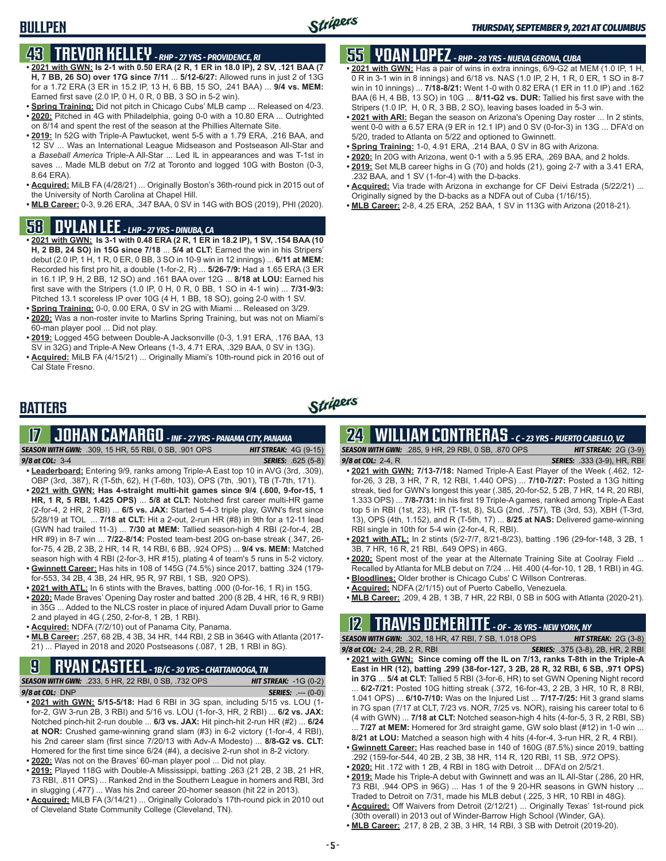### **43 TREVOR KELLEY** *- RHP - 27 YRS - PROVIDENCE, RI*

- **• 2021 with GWN: Is 2-1 with 0.50 ERA (2 R, 1 ER in 18.0 IP), 2 SV, .121 BAA (7 H, 7 BB, 26 SO) over 17G since 7/11** ... **5/12-6/27:** Allowed runs in just 2 of 13G for a 1.72 ERA (3 ER in 15.2 IP, 13 H, 6 BB, 15 SO, .241 BAA) ... **9/4 vs. MEM:** Earned first save (2.0 IP, 0 H, 0 R, 0 BB, 3 SO in 5-2 win).
- **• Spring Training:** Did not pitch in Chicago Cubs' MLB camp ... Released on 4/23. **• 2020:** Pitched in 4G with Philadelphia, going 0-0 with a 10.80 ERA ... Outrighted on 8/14 and spent the rest of the season at the Phillies Alternate Site.
- **• 2019:** In 52G with Triple-A Pawtucket, went 5-5 with a 1.79 ERA, .216 BAA, and 12 SV ... Was an International League Midseason and Postseason All-Star and a *Baseball America* Triple-A All-Star ... Led IL in appearances and was T-1st in saves ... Made MLB debut on 7/2 at Toronto and logged 10G with Boston (0-3, 8.64 ERA).
- **• Acquired:** MiLB FA (4/28/21) ... Originally Boston's 36th-round pick in 2015 out of the University of North Carolina at Chapel Hill.
- **• MLB Career:** 0-3, 9.26 ERA, .347 BAA, 0 SV in 14G with BOS (2019), PHI (2020).

### **58 DYLAN LEE** *- LHP - 27 YRS - DINUBA, CA*

- **• 2021 with GWN: Is 3-1 with 0.48 ERA (2 R, 1 ER in 18.2 IP), 1 SV, .154 BAA (10 H, 2 BB, 24 SO) in 15G since 7/18** ... **5/4 at CLT:** Earned the win in his Stripers' debut (2.0 IP, 1 H, 1 R, 0 ER, 0 BB, 3 SO in 10-9 win in 12 innings) ... **6/11 at MEM:** Recorded his first pro hit, a double (1-for-2, R) ... **5/26-7/9:** Had a 1.65 ERA (3 ER in 16.1 IP, 9 H, 2 BB, 12 SO) and .161 BAA over 12G ... **8/18 at LOU:** Earned his first save with the Stripers (1.0 IP, 0 H, 0 R, 0 BB, 1 SO in 4-1 win) ... **7/31-9/3:** Pitched 13.1 scoreless IP over 10G (4 H, 1 BB, 18 SO), going 2-0 with 1 SV.
- **• Spring Training:** 0-0, 0.00 ERA, 0 SV in 2G with Miami ... Released on 3/29. **• 2020:** Was a non-roster invite to Marlins Spring Training, but was not on Miami's 60-man player pool ... Did not play.
- **• 2019:** Logged 45G between Double-A Jacksonville (0-3, 1.91 ERA, .176 BAA, 13 SV in 32G) and Triple-A New Orleans (1-3, 4.71 ERA, .329 BAA, 0 SV in 13G).
- **• Acquired:** MiLB FA (4/15/21) ... Originally Miami's 10th-round pick in 2016 out of Cal State Fresno.

## **55 YOAN LOPEZ** *- RHP - 28 YRS - NUEVA GERONA, CUBA*

- **• 2021 with GWN:** Has a pair of wins in extra innings, 6/9-G2 at MEM (1.0 IP, 1 H, 0 R in 3-1 win in 8 innings) and 6/18 vs. NAS (1.0 IP, 2 H, 1 R, 0 ER, 1 SO in 8-7 win in 10 innings) ... **7/18-8/21:** Went 1-0 with 0.82 ERA (1 ER in 11.0 IP) and .162 BAA (6 H, 4 BB, 13 SO) in 10G ... **8/11-G2 vs. DUR:** Tallied his first save with the Stripers (1.0 IP, H, 0 R, 3 BB, 2 SO), leaving bases loaded in 5-3 win.
- **• 2021 with ARI:** Began the season on Arizona's Opening Day roster ... In 2 stints, went 0-0 with a 6.57 ERA (9 ER in 12.1 IP) and 0 SV (0-for-3) in 13G ... DFA'd on 5/20, traded to Atlanta on 5/22 and optioned to Gwinnett.
- **• Spring Training:** 1-0, 4.91 ERA, .214 BAA, 0 SV in 8G with Arizona.
- **• 2020:** In 20G with Arizona, went 0-1 with a 5.95 ERA, .269 BAA, and 2 holds.
- **• 2019:** Set MLB career highs in G (70) and holds (21), going 2-7 with a 3.41 ERA, .232 BAA, and 1 SV (1-for-4) with the D-backs.
- **• Acquired:** Via trade with Arizona in exchange for CF Deivi Estrada (5/22/21) ... Originally signed by the D-backs as a NDFA out of Cuba (1/16/15).
- **• MLB Career:** 2-8, 4.25 ERA, .252 BAA, 1 SV in 113G with Arizona (2018-21).

### **BATTERS**

## Stripers

## **17 JOHAN CAMARGO** *- INF - 27 YRS - PANAMA CITY, PANAMA*

*SEASON WITH GWN:*.309, 15 HR, 55 RBI, 0 SB, .901 OPS *HIT STREAK:* 4G (9-15) *9/8 at COL:* 3-4 *SERIES:* .625 (5-8)

- **• Leaderboard:** Entering 9/9, ranks among Triple-A East top 10 in AVG (3rd, .309), OBP (3rd, .387), R (T-5th, 62), H (T-6th, 103), OPS (7th, .901), TB (T-7th, 171).
- **• 2021 with GWN: Has 4-straight multi-hit games since 9/4 (.600, 9-for-15, 1 HR, 1 R, 5 RBI, 1.425 OPS)** ... **5/8 at CLT:** Notched first career multi-HR game (2-for-4, 2 HR, 2 RBI) ... **6/5 vs. JAX:** Started 5-4-3 triple play, GWN's first since 5/28/19 at TOL ... **7/18 at CLT:** Hit a 2-out, 2-run HR (#8) in 9th for a 12-11 lead (GWN had trailed 11-3) ... **7/30 at MEM:** Tallied season-high 4 RBI (2-for-4, 2B, HR #9) in 8-7 win ... **7/22-8/14:** Posted team-best 20G on-base streak (.347, 26 for-75, 4 2B, 2 3B, 2 HR, 14 R, 14 RBI, 6 BB, .924 OPS) ... **9/4 vs. MEM:** Matched season high with 4 RBI (2-for-3, HR #15), plating 4 of team's 5 runs in 5-2 victory.
- **• Gwinnett Career:** Has hits in 108 of 145G (74.5%) since 2017, batting .324 (179 for-553, 34 2B, 4 3B, 24 HR, 95 R, 97 RBI, 1 SB, .920 OPS).
- **• 2021 with ATL:** In 6 stints with the Braves, batting .000 (0-for-16, 1 R) in 15G.
- **• 2020:** Made Braves' Opening Day roster and batted .200 (8 2B, 4 HR, 16 R, 9 RBI) in 35G ... Added to the NLCS roster in place of injured Adam Duvall prior to Game 2 and played in 4G (.250, 2-for-8, 1 2B, 1 RBI).
- **• Acquired:** NDFA (7/2/10) out of Panama City, Panama.
- **• MLB Career:** .257, 68 2B, 4 3B, 34 HR, 144 RBI, 2 SB in 364G with Atlanta (2017- 21) ... Played in 2018 and 2020 Postseasons (.087, 1 2B, 1 RBI in 8G).

## **9 RYAN CASTEEL** *- 1B/C - 30 YRS - CHATTANOOGA, TN*

| <b>SEASON WITH GWN:</b> .233, 5 HR, 22 RBI, 0 SB, .732 OPS | <b>HIT STREAK:</b> $-1G(0-2)$ |
|------------------------------------------------------------|-------------------------------|
| $9/8$ at COL: DNP                                          | <b>SERIES:</b> $--- (0-0)$    |
|                                                            |                               |

- **• 2021 with GWN: 5/15-5/18:** Had 6 RBI in 3G span, including 5/15 vs. LOU (1 for-2, GW 3-run 2B, 3 RBI) and 5/16 vs. LOU (1-for-3, HR, 2 RBI) ... **6/2 vs. JAX:** Notched pinch-hit 2-run double ... **6/3 vs. JAX:** Hit pinch-hit 2-run HR (#2) ... **6/24 at NOR:** Crushed game-winning grand slam (#3) in 6-2 victory (1-for-4, 4 RBI), his 2nd career slam (first since 7/20/13 with Adv-A Modesto) ... **8/8-G2 vs. CLT:** Homered for the first time since 6/24 (#4), a decisive 2-run shot in 8-2 victory.
- **• 2020:** Was not on the Braves' 60-man player pool ... Did not play.
- **• 2019:** Played 118G with Double-A Mississippi, batting .263 (21 2B, 2 3B, 21 HR, 73 RBI, .811 OPS) ... Ranked 2nd in the Southern League in homers and RBI, 3rd in slugging (.477) ... Was his 2nd career 20-homer season (hit 22 in 2013).
- **• Acquired:** MiLB FA (3/14/21) ... Originally Colorado's 17th-round pick in 2010 out of Cleveland State Community College (Cleveland, TN).

## **24 WILLIAM CONTRERAS** *- C - 23 YRS - PUERTO CABELLO, VZ*

*SEASON WITH GWN:*.285, 9 HR, 29 RBI, 0 SB, .870 OPS *HIT STREAK:* 2G (3-9)

*9/8 at COL:* 2-4, R *SERIES:* .333 (3-9), HR, RBI

- **• 2021 with GWN: 7/13-7/18:** Named Triple-A East Player of the Week (.462, 12 for-26, 3 2B, 3 HR, 7 R, 12 RBI, 1.440 OPS) ... **7/10-7/27:** Posted a 13G hitting streak, tied for GWN's longest this year (.385, 20-for-52, 5 2B, 7 HR, 14 R, 20 RBI, 1.333 OPS) ... **7/8-7/31:** In his first 19 Triple-A games, ranked among Triple-A East top 5 in RBI (1st, 23), HR (T-1st, 8), SLG (2nd, .757), TB (3rd, 53), XBH (T-3rd, 13), OPS (4th, 1.152), and R (T-5th, 17) ... **8/25 at NAS:** Delivered game-winning RBI single in 10th for 5-4 win (2-for-4, R, RBI).
- **• 2021 with ATL:** In 2 stints (5/2-7/7, 8/21-8/23), batting .196 (29-for-148, 3 2B, 1 3B, 7 HR, 16 R, 21 RBI, .649 OPS) in 46G.
- **• 2020:** Spent most of the year at the Alternate Training Site at Coolray Field ... Recalled by Atlanta for MLB debut on 7/24 ... Hit .400 (4-for-10, 1 2B, 1 RBI) in 4G.
- **• Bloodlines:** Older brother is Chicago Cubs' C Willson Contreras.
- **• Acquired:** NDFA (2/1/15) out of Puerto Cabello, Venezuela.
- **• MLB Career:** .209, 4 2B, 1 3B, 7 HR, 22 RBI, 0 SB in 50G with Atlanta (2020-21).

## **12 TRAVIS DEMERITTE** *- OF - 26 YRS - NEW YORK, NY*

*SEASON WITH GWN:*.302, 18 HR, 47 RBI, 7 SB, 1.018 OPS *HIT STREAK:* 2G (3-8) *9/8 at COL:*2-4, 2B, 2 R, RBI *SERIES:* .375 (3-8), 2B, HR, 2 RBI

- **• 2021 with GWN: Since coming off the IL on 7/13, ranks T-8th in the Triple-A East in HR (12), batting .299 (38-for-127, 3 2B, 28 R, 32 RBI, 6 SB, .971 OPS) in 37G** ... **5/4 at CLT:** Tallied 5 RBI (3-for-6, HR) to set GWN Opening Night record
- ... **6/2-7/21:** Posted 10G hitting streak (.372, 16-for-43, 2 2B, 3 HR, 10 R, 8 RBI, 1.041 OPS) ... **6/10-7/10:** Was on the Injured List ... **7/17-7/25:** Hit 3 grand slams in 7G span (7/17 at CLT, 7/23 vs. NOR, 7/25 vs. NOR), raising his career total to 6 (4 with GWN) ... **7/18 at CLT:** Notched season-high 4 hits (4-for-5, 3 R, 2 RBI, SB) ... **7/27 at MEM:** Homered for 3rd straight game, GW solo blast (#12) in 1-0 win ...
- **8/21 at LOU:** Matched a season high with 4 hits (4-for-4, 3-run HR, 2 R, 4 RBI). **• Gwinnett Career:** Has reached base in 140 of 160G (87.5%) since 2019, batting
- .292 (159-for-544, 40 2B, 2 3B, 38 HR, 114 R, 120 RBI, 11 SB, .972 OPS).
- **• 2020:** Hit .172 with 1 2B, 4 RBI in 18G with Detroit ... DFA'd on 2/5/21.
- **• 2019:** Made his Triple-A debut with Gwinnett and was an IL All-Star (.286, 20 HR, 73 RBI, .944 OPS in 96G) ... Has 1 of the 9 20-HR seasons in GWN history ... Traded to Detroit on 7/31, made his MLB debut (.225, 3 HR, 10 RBI in 48G).
- **• Acquired:** Off Waivers from Detroit (2/12/21) ... Originally Texas' 1st-round pick (30th overall) in 2013 out of Winder-Barrow High School (Winder, GA).
- **• MLB Career:** .217, 8 2B, 2 3B, 3 HR, 14 RBI, 3 SB with Detroit (2019-20).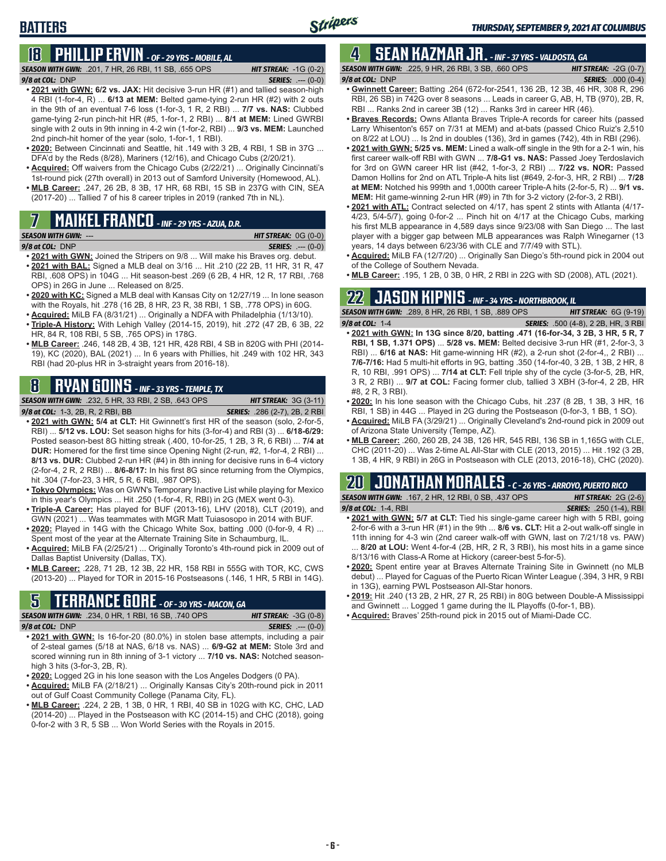## **18 PHILLIP ERVIN** *- OF - 29 YRS - MOBILE, AL*

*SEASON WITH GWN:*.201, 7 HR, 26 RBI, 11 SB, .655 OPS *HIT STREAK:* -1G (0-2) *9/8 at COL:*DNP *SERIES:* .--- (0-0)

- **• 2021 with GWN: 6/2 vs. JAX:** Hit decisive 3-run HR (#1) and tallied season-high 4 RBI (1-for-4, R) ... **6/13 at MEM:** Belted game-tying 2-run HR (#2) with 2 outs in the 9th of an eventual 7-6 loss (1-for-3, 1 R, 2 RBI) ... **7/7 vs. NAS:** Clubbed game-tying 2-run pinch-hit HR (#5, 1-for-1, 2 RBI) ... **8/1 at MEM:** Lined GWRBI single with 2 outs in 9th inning in 4-2 win (1-for-2, RBI) ... **9/3 vs. MEM:** Launched 2nd pinch-hit homer of the year (solo, 1-for-1, 1 RBI).
- **• 2020:** Between Cincinnati and Seattle, hit .149 with 3 2B, 4 RBI, 1 SB in 37G ... DFA'd by the Reds (8/28), Mariners (12/16), and Chicago Cubs (2/20/21).
- **• Acquired:** Off waivers from the Chicago Cubs (2/22/21) ... Originally Cincinnati's 1st-round pick (27th overall) in 2013 out of Samford University (Homewood, AL).
- **• MLB Career:** .247, 26 2B, 8 3B, 17 HR, 68 RBI, 15 SB in 237G with CIN, SEA (2017-20) ... Tallied 7 of his 8 career triples in 2019 (ranked 7th in NL).

## **7 MAIKEL FRANCO** *- INF - 29 YRS - AZUA, D.R.*

#### *SEASON WITH GWN:*--- *HIT STREAK:* 0G (0-0) *9/8 at COL:*DNP *SERIES:* .--- (0-0)

- **• 2021 with GWN:** Joined the Stripers on 9/8 ... Will make his Braves org. debut. **• 2021 with BAL:** Signed a MLB deal on 3/16 ... Hit .210 (22 2B, 11 HR, 31 R, 47 RBI, .608 OPS) in 104G ... Hit season-best .269 (6 2B, 4 HR, 12 R, 17 RBI, .768 OPS) in 26G in June ... Released on 8/25.
- **• 2020 with KC:** Signed a MLB deal with Kansas City on 12/27/19 ... In lone season with the Royals, hit .278 (16 2B, 8 HR, 23 R, 38 RBI, 1 SB, .778 OPS) in 60G.
- **• Acquired:** MiLB FA (8/31/21) ... Originally a NDFA with Philadelphia (1/13/10). **• Triple-A History:** With Lehigh Valley (2014-15, 2019), hit .272 (47 2B, 6 3B, 22
- HR, 84 R, 108 RBI, 5 SB, .765 OPS) in 178G. **• MLB Career:** .246, 148 2B, 4 3B, 121 HR, 428 RBI, 4 SB in 820G with PHI (2014- 19), KC (2020), BAL (2021) ... In 6 years with Phillies, hit .249 with 102 HR, 343 RBI (had 20-plus HR in 3-straight years from 2016-18).

## **8 RYAN GOINS** *- INF - 33 YRS - TEMPLE, TX*

*SEASON WITH GWN:*.232, 5 HR, 33 RBI, 2 SB, .643 OPS *HIT STREAK:* 3G (3-11)

- *9/8 at COL:*1-3, 2B, R, 2 RBI, BB *SERIES:* .286 (2-7), 2B, 2 RBI **• 2021 with GWN: 5/4 at CLT:** Hit Gwinnett's first HR of the season (solo, 2-for-5, RBI) ... **5/12 vs. LOU:** Set season highs for hits (3-for-4) and RBI (3) ... **6/18-6/29:** Posted season-best 8G hitting streak (.400, 10-for-25, 1 2B, 3 R, 6 RBI) ... **7/4 at DUR:** Homered for the first time since Opening Night (2-run, #2, 1-for-4, 2 RBI) ... **8/13 vs. DUR:** Clubbed 2-run HR (#4) in 8th inning for decisive runs in 6-4 victory (2-for-4, 2 R, 2 RBI) ... **8/6-8/17:** In his first 8G since returning from the Olympics, hit .304 (7-for-23, 3 HR, 5 R, 6 RBI, .987 OPS).
- **• Tokyo Olympics:** Was on GWN's Temporary Inactive List while playing for Mexico in this year's Olympics ... Hit .250 (1-for-4, R, RBI) in 2G (MEX went 0-3).
- **• Triple-A Career:** Has played for BUF (2013-16), LHV (2018), CLT (2019), and GWN (2021) ... Was teammates with MGR Matt Tuiasosopo in 2014 with BUF.
- **• 2020:** Played in 14G with the Chicago White Sox, batting .000 (0-for-9, 4 R) ... Spent most of the year at the Alternate Training Site in Schaumburg, IL.
- **• Acquired:** MiLB FA (2/25/21) ... Originally Toronto's 4th-round pick in 2009 out of Dallas Baptist University (Dallas, TX).
- **• MLB Career:** .228, 71 2B, 12 3B, 22 HR, 158 RBI in 555G with TOR, KC, CWS (2013-20) ... Played for TOR in 2015-16 Postseasons (.146, 1 HR, 5 RBI in 14G).

## **5 TERRANCE GORE** *- OF - 30 YRS - MACON, GA*

*SEASON WITH GWN:*.234, 0 HR, 1 RBI, 16 SB, .740 OPS *HIT STREAK:* -3G (0-8) *9/8 at COL:*DNP *SERIES:* .--- (0-0)

- **• 2021 with GWN:** Is 16-for-20 (80.0%) in stolen base attempts, including a pair of 2-steal games (5/18 at NAS, 6/18 vs. NAS) ... **6/9-G2 at MEM:** Stole 3rd and scored winning run in 8th inning of 3-1 victory ... **7/10 vs. NAS:** Notched seasonhigh 3 hits (3-for-3, 2B, R).
- **• 2020:** Logged 2G in his lone season with the Los Angeles Dodgers (0 PA).
- **• Acquired:** MiLB FA (2/18/21) ... Originally Kansas City's 20th-round pick in 2011 out of Gulf Coast Community College (Panama City, FL).
- **• MLB Career:** .224, 2 2B, 1 3B, 0 HR, 1 RBI, 40 SB in 102G with KC, CHC, LAD (2014-20) ... Played in the Postseason with KC (2014-15) and CHC (2018), going 0-for-2 with 3 R, 5 SB ... Won World Series with the Royals in 2015.

## **4 SEAN KAZMAR JR.** *- INF - 37 YRS - VALDOSTA, GA*

|                 | <b>SEASON WITH GWN:</b> .225, 9 HR, 26 RBI, 3 SB, .660 OPS | <b>HIT STREAK: -2G (0-7)</b> |
|-----------------|------------------------------------------------------------|------------------------------|
| 9/8 at COL: DNP |                                                            | <b>SERIES:</b> .000 (0-4)    |
|                 |                                                            |                              |

- **• Gwinnett Career:** Batting .264 (672-for-2541, 136 2B, 12 3B, 46 HR, 308 R, 296 RBI, 26 SB) in 742G over 8 seasons ... Leads in career G, AB, H, TB (970), 2B, R, RBI ... Ranks 2nd in career 3B (12) ... Ranks 3rd in career HR (46).
- **• Braves Records:** Owns Atlanta Braves Triple-A records for career hits (passed Larry Whisenton's 657 on 7/31 at MEM) and at-bats (passed Chico Ruiz's 2,510 on 8/22 at LOU) ... Is 2nd in doubles (136), 3rd in games (742), 4th in RBI (296).
- **• 2021 with GWN: 5/25 vs. MEM:** Lined a walk-off single in the 9th for a 2-1 win, his first career walk-off RBI with GWN ... **7/8-G1 vs. NAS:** Passed Joey Terdoslavich for 3rd on GWN career HR list (#42, 1-for-3, 2 RBI) ... **7/22 vs. NOR:** Passed Damon Hollins for 2nd on ATL Triple-A hits list (#649, 2-for-3, HR, 2 RBI) ... **7/28 at MEM:** Notched his 999th and 1,000th career Triple-A hits (2-for-5, R) ... **9/1 vs. MEM:** Hit game-winning 2-run HR (#9) in 7th for 3-2 victory (2-for-3, 2 RBI).
- **• 2021 with ATL:** Contract selected on 4/17, has spent 2 stints with Atlanta (4/17- 4/23, 5/4-5/7), going 0-for-2 ... Pinch hit on 4/17 at the Chicago Cubs, marking his first MLB appearance in 4,589 days since 9/23/08 with San Diego ... The last player with a bigger gap between MLB appearances was Ralph Winegarner (13 years, 14 days between 6/23/36 with CLE and 7/7/49 with STL).
- **• Acquired:** MiLB FA (12/7/20) ... Originally San Diego's 5th-round pick in 2004 out of the College of Southern Nevada.
- **• MLB Career:** .195, 1 2B, 0 3B, 0 HR, 2 RBI in 22G with SD (2008), ATL (2021).

## **22 JASON KIPNIS** *- INF - 34 YRS - NORTHBROOK, IL*

*SEASON WITH GWN:*.289, 8 HR, 26 RBI, 1 SB, .889 OPS *HIT STREAK:* 6G (9-19) *9/8 at COL:*1-4 *SERIES:* .500 (4-8), 2 2B, HR, 3 RBI

- **• 2021 with GWN: In 13G since 8/20, batting .471 (16-for-34, 3 2B, 3 HR, 5 R, 7 RBI, 1 SB, 1.371 OPS)** ... **5/28 vs. MEM:** Belted decisive 3-run HR (#1, 2-for-3, 3 RBI) ... **6/16 at NAS:** Hit game-winning HR (#2), a 2-run shot (2-for-4,, 2 RBI) ... **7/6-7/16:** Had 5 multi-hit efforts in 9G, batting .350 (14-for-40, 3 2B, 1 3B, 2 HR, 8 R, 10 RBI, .991 OPS) ... **7/14 at CLT:** Fell triple shy of the cycle (3-for-5, 2B, HR, 3 R, 2 RBI) ... **9/7 at COL:** Facing former club, tallied 3 XBH (3-for-4, 2 2B, HR #8, 2 R, 3 RBI).
- **• 2020:** In his lone season with the Chicago Cubs, hit .237 (8 2B, 1 3B, 3 HR, 16 RBI, 1 SB) in 44G ... Played in 2G during the Postseason (0-for-3, 1 BB, 1 SO).
- **• Acquired:** MiLB FA (3/29/21) ... Originally Cleveland's 2nd-round pick in 2009 out of Arizona State University (Tempe, AZ).
- **• MLB Career:** .260, 260 2B, 24 3B, 126 HR, 545 RBI, 136 SB in 1,165G with CLE, CHC (2011-20) ... Was 2-time AL All-Star with CLE (2013, 2015) ... Hit .192 (3 2B, 1 3B, 4 HR, 9 RBI) in 26G in Postseason with CLE (2013, 2016-18), CHC (2020).

## **20 JONATHAN MORALES** *- C - 26 YRS - ARROYO, PUERTO RICO*

*SEASON WITH GWN:*.167, 2 HR, 12 RBI, 0 SB, .437 OPS *HIT STREAK:* 2G (2-6) *9/8 at COL:*1-4, RBI *SERIES:* .250 (1-4), RBI

- **• 2021 with GWN: 5/7 at CLT:** Tied his single-game career high with 5 RBI, going 2-for-6 with a 3-run HR (#1) in the 9th ... **8/6 vs. CLT:** Hit a 2-out walk-off single in 11th inning for 4-3 win (2nd career walk-off with GWN, last on 7/21/18 vs. PAW) ... **8/20 at LOU:** Went 4-for-4 (2B, HR, 2 R, 3 RBI), his most hits in a game since 8/13/16 with Class-A Rome at Hickory (career-best 5-for-5).
- **• 2020:** Spent entire year at Braves Alternate Training Site in Gwinnett (no MLB debut) ... Played for Caguas of the Puerto Rican Winter League (.394, 3 HR, 9 RBI in 13G), earning PWL Postseason All-Star honors.
- **• 2019:** Hit .240 (13 2B, 2 HR, 27 R, 25 RBI) in 80G between Double-A Mississippi and Gwinnett ... Logged 1 game during the IL Playoffs (0-for-1, BB).
- **• Acquired:** Braves' 25th-round pick in 2015 out of Miami-Dade CC.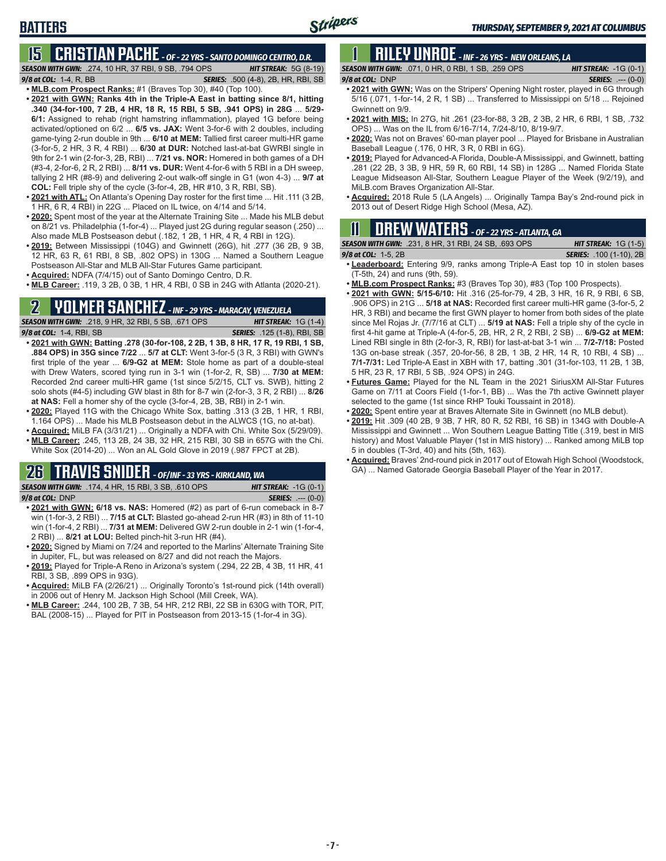## **BATTERS**

## **15 CRISTIAN PACHE** *- OF - 22 YRS - SANTO DOMINGO CENTRO, D.R.*

*SEASON WITH GWN:*.274, 10 HR, 37 RBI, 9 SB, .794 OPS *HIT STREAK:* 5G (8-19) *9/8 at COL:* 1-4, R, BB *SERIES:* .500 (4-8), 2B, HR, RBI, SB

- **• MLB.com Prospect Ranks:** #1 (Braves Top 30), #40 (Top 100). **• 2021 with GWN: Ranks 4th in the Triple-A East in batting since 8/1, hitting .340 (34-for-100, 7 2B, 4 HR, 18 R, 15 RBI, 5 SB, .941 OPS) in 28G** ... **5/29- 6/1:** Assigned to rehab (right hamstring inflammation), played 1G before being activated/optioned on 6/2 ... **6/5 vs. JAX:** Went 3-for-6 with 2 doubles, including game-tying 2-run double in 9th ... **6/10 at MEM:** Tallied first career multi-HR game (3-for-5, 2 HR, 3 R, 4 RBI) ... **6/30 at DUR:** Notched last-at-bat GWRBI single in 9th for 2-1 win (2-for-3, 2B, RBI) ... **7/21 vs. NOR:** Homered in both games of a DH (#3-4, 2-for-6, 2 R, 2 RBI) ... **8/11 vs. DUR:** Went 4-for-6 with 5 RBI in a DH sweep, tallying 2 HR (#8-9) and delivering 2-out walk-off single in G1 (won 4-3) ... **9/7 at COL:** Fell triple shy of the cycle (3-for-4, 2B, HR #10, 3 R, RBI, SB).
- **• 2021 with ATL:** On Atlanta's Opening Day roster for the first time ... Hit .111 (3 2B, 1 HR, 6 R, 4 RBI) in 22G ... Placed on IL twice, on 4/14 and 5/14.
- **• 2020:** Spent most of the year at the Alternate Training Site ... Made his MLB debut on 8/21 vs. Philadelphia (1-for-4) ... Played just 2G during regular season (.250) ... Also made MLB Postseason debut (.182, 1 2B, 1 HR, 4 R, 4 RBI in 12G).
- **• 2019:** Between Mississippi (104G) and Gwinnett (26G), hit .277 (36 2B, 9 3B, 12 HR, 63 R, 61 RBI, 8 SB, .802 OPS) in 130G ... Named a Southern League Postseason All-Star and MLB All-Star Futures Game participant.
- **• Acquired:** NDFA (7/4/15) out of Santo Domingo Centro, D.R.
- **• MLB Career:** .119, 3 2B, 0 3B, 1 HR, 4 RBI, 0 SB in 24G with Atlanta (2020-21).

## **2 YOLMER SANCHEZ** *- INF - 29 YRS - MARACAY, VENEZUELA*

*SEASON WITH GWN:*.218, 9 HR, 32 RBI, 5 SB, .671 OPS *HIT STREAK:* 1G (1-4) *9/8 at COL:*1-4, RBI, SB *SERIES:* .125 (1-8), RBI, SB

- **• 2021 with GWN: Batting .278 (30-for-108, 2 2B, 1 3B, 8 HR, 17 R, 19 RBI, 1 SB, .884 OPS) in 35G since 7/22** ... **5/7 at CLT:** Went 3-for-5 (3 R, 3 RBI) with GWN's first triple of the year ... **6/9-G2 at MEM:** Stole home as part of a double-steal with Drew Waters, scored tying run in 3-1 win (1-for-2, R, SB) ... **7/30 at MEM:** Recorded 2nd career multi-HR game (1st since 5/2/15, CLT vs. SWB), hitting 2 solo shots (#4-5) including GW blast in 8th for 8-7 win (2-for-3, 3 R, 2 RBI) ... **8/26 at NAS:** Fell a homer shy of the cycle (3-for-4, 2B, 3B, RBI) in 2-1 win.
- **• 2020:** Played 11G with the Chicago White Sox, batting .313 (3 2B, 1 HR, 1 RBI, 1.164 OPS) ... Made his MLB Postseason debut in the ALWCS (1G, no at-bat).
- **• Acquired:** MiLB FA (3/31/21) ... Originally a NDFA with Chi. White Sox (5/29/09).
- **• MLB Career:** .245, 113 2B, 24 3B, 32 HR, 215 RBI, 30 SB in 657G with the Chi. White Sox (2014-20) ... Won an AL Gold Glove in 2019 (.987 FPCT at 2B).

## **26 TRAVIS SNIDER** *- OF/INF - 33 YRS - KIRKLAND, WA*

*SEASON WITH GWN:*.174, 4 HR, 15 RBI, 3 SB, .610 OPS *HIT STREAK:* -1G (0-1) *9/8 at COL:* DNP *SERIES:* .--- (0-0)

- **• 2021 with GWN: 6/18 vs. NAS:** Homered (#2) as part of 6-run comeback in 8-7 win (1-for-3, 2 RBI) ... **7/15 at CLT:** Blasted go-ahead 2-run HR (#3) in 8th of 11-10 win (1-for-4, 2 RBI) ... **7/31 at MEM:** Delivered GW 2-run double in 2-1 win (1-for-4, 2 RBI) ... **8/21 at LOU:** Belted pinch-hit 3-run HR (#4).
- **• 2020:** Signed by Miami on 7/24 and reported to the Marlins' Alternate Training Site in Jupiter, FL, but was released on 8/27 and did not reach the Majors.
- **• 2019:** Played for Triple-A Reno in Arizona's system (.294, 22 2B, 4 3B, 11 HR, 41 RBI, 3 SB, .899 OPS in 93G).
- **• Acquired:** MiLB FA (2/26/21) ... Originally Toronto's 1st-round pick (14th overall) in 2006 out of Henry M. Jackson High School (Mill Creek, WA).
- **• MLB Career:** .244, 100 2B, 7 3B, 54 HR, 212 RBI, 22 SB in 630G with TOR, PIT, BAL (2008-15) ... Played for PIT in Postseason from 2013-15 (1-for-4 in 3G).

## **1 RILEY UNROE** *- INF - 26 YRS - NEW ORLEANS, LA*

*SEASON WITH GWN:*.071, 0 HR, 0 RBI, 1 SB, .259 OPS *HIT STREAK:* -1G (0-1) *9/8 at COL:*DNP *SERIES:* .--- (0-0)

- 
- **• 2021 with GWN:** Was on the Stripers' Opening Night roster, played in 6G through 5/16 (.071, 1-for-14, 2 R, 1 SB) ... Transferred to Mississippi on 5/18 ... Rejoined Gwinnett on 9/9.
- **• 2021 with MIS:** In 27G, hit .261 (23-for-88, 3 2B, 2 3B, 2 HR, 6 RBI, 1 SB, .732 OPS) ... Was on the IL from 6/16-7/14, 7/24-8/10, 8/19-9/7.
- **• 2020:** Was not on Braves' 60-man player pool ... Played for Brisbane in Australian Baseball League (.176, 0 HR, 3 R, 0 RBI in 6G).
- **• 2019:** Played for Advanced-A Florida, Double-A Mississippi, and Gwinnett, batting .281 (22 2B, 3 3B, 9 HR, 59 R, 60 RBI, 14 SB) in 128G ... Named Florida State League Midseason All-Star, Southern League Player of the Week (9/2/19), and MiLB.com Braves Organization All-Star.
- **• Acquired:** 2018 Rule 5 (LA Angels) ... Originally Tampa Bay's 2nd-round pick in 2013 out of Desert Ridge High School (Mesa, AZ).

## **11 Drew WATERS** *- OF - 22 YRS - ATLANTA, GA*

*SEASON WITH GWN:*.231, 8 HR, 31 RBI, 24 SB, .693 OPS *HIT STREAK:* 1G (1-5)

- 
- *9/8 at COL:*1-5, 2B *SERIES:* .100 (1-10), 2B **• Leaderboard:** Entering 9/9, ranks among Triple-A East top 10 in stolen bases (T-5th, 24) and runs (9th, 59).
- **• MLB.com Prospect Ranks:** #3 (Braves Top 30), #83 (Top 100 Prospects).
- **• 2021 with GWN: 5/15-6/10:** Hit .316 (25-for-79, 4 2B, 3 HR, 16 R, 9 RBI, 6 SB, .906 OPS) in 21G ... **5/18 at NAS:** Recorded first career multi-HR game (3-for-5, 2 HR, 3 RBI) and became the first GWN player to homer from both sides of the plate since Mel Rojas Jr. (7/7/16 at CLT) ... **5/19 at NAS:** Fell a triple shy of the cycle in first 4-hit game at Triple-A (4-for-5, 2B, HR, 2 R, 2 RBI, 2 SB) ... **6/9-G2 at MEM:** Lined RBI single in 8th (2-for-3, R, RBI) for last-at-bat 3-1 win ... **7/2-7/18:** Posted 13G on-base streak (.357, 20-for-56, 8 2B, 1 3B, 2 HR, 14 R, 10 RBI, 4 SB) ... **7/1-7/31:** Led Triple-A East in XBH with 17, batting .301 (31-for-103, 11 2B, 1 3B, 5 HR, 23 R, 17 RBI, 5 SB, .924 OPS) in 24G.
- **• Futures Game:** Played for the NL Team in the 2021 SiriusXM All-Star Futures Game on 7/11 at Coors Field (1-for-1, BB) ... Was the 7th active Gwinnett player selected to the game (1st since RHP Touki Toussaint in 2018).
- **• 2020:** Spent entire year at Braves Alternate Site in Gwinnett (no MLB debut).
- **• 2019:** Hit .309 (40 2B, 9 3B, 7 HR, 80 R, 52 RBI, 16 SB) in 134G with Double-A Mississippi and Gwinnett ... Won Southern League Batting Title (.319, best in MIS history) and Most Valuable Player (1st in MIS history) ... Ranked among MiLB top 5 in doubles (T-3rd, 40) and hits (5th, 163).
- **• Acquired:** Braves' 2nd-round pick in 2017 out of Etowah High School (Woodstock, GA) ... Named Gatorade Georgia Baseball Player of the Year in 2017.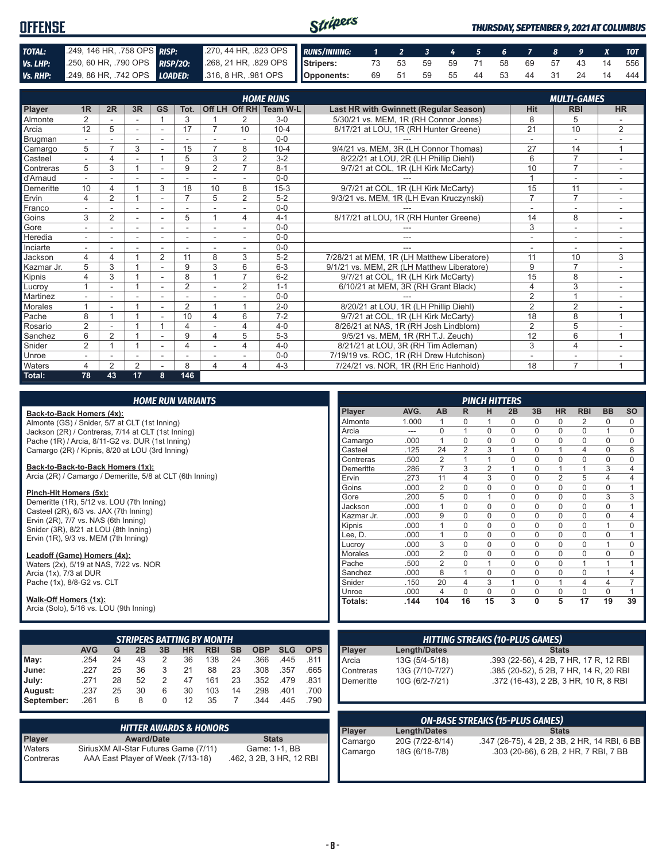| <b>OFFENSE</b> |  |                                                                                              | Stripers |  |  |  |  |  | <b>THURSDAY, SEPTEMBER 9, 2021 AT COLUMBUS</b> |
|----------------|--|----------------------------------------------------------------------------------------------|----------|--|--|--|--|--|------------------------------------------------|
| TOTAL:         |  | 249, 146 HR, 758 OPS RISP: 270, 44 HR, 823 OPS RUNS/INNING: 1 2 3 4 5 6 7 8 9 X TOT          |          |  |  |  |  |  |                                                |
| Vs. LHP:       |  | 250, 60 HR, 790 OPS RISP/20: 268, 21 HR, 829 OPS Stripers: 73 53 59 59 71 58 69 57 43 14 556 |          |  |  |  |  |  |                                                |
|                |  | Vs. RHP: 249, 86 HR, 742 OPS LOADED: 316, 8 HR, 981 OPS Opponents:                           |          |  |  |  |  |  | 69 51 59 55 44 53 44 31 24 14 444              |

|            |                |                |    |           |                |                |                | <b>HOME RUNS</b>       |                                               |                 | <b>MULTI-GAMES</b> |              |
|------------|----------------|----------------|----|-----------|----------------|----------------|----------------|------------------------|-----------------------------------------------|-----------------|--------------------|--------------|
| Player     | 1 <sub>R</sub> | 2R             | 3R | <b>GS</b> | Tot.           |                |                | Off LH Off RH Team W-L | <b>Last HR with Gwinnett (Regular Season)</b> | <b>Hit</b>      | <b>RBI</b>         | <b>HR</b>    |
| Almonte    | $\overline{2}$ |                |    |           | 3              |                | 2              | $3-0$                  | 5/30/21 vs. MEM. 1R (RH Connor Jones)         | 8               | 5                  |              |
| Arcia      | 12             | 5              |    |           | 17             | 7              | 10             | $10 - 4$               | 8/17/21 at LOU. 1R (RH Hunter Greene)         | $\overline{21}$ | 10                 | 2            |
| Brugman    |                |                |    |           |                |                |                | $0 - 0$                |                                               |                 |                    |              |
| Camargo    | 5              | $\overline{ }$ | 3  |           | 15             | $\overline{7}$ | 8              | $10 - 4$               | 9/4/21 vs. MEM, 3R (LH Connor Thomas)         | 27              | 14                 |              |
| Casteel    |                | $\overline{4}$ |    |           | 5              | 3              | $\overline{2}$ | $3 - 2$                | 8/22/21 at LOU, 2R (LH Phillip Diehl)         | 6               | $\overline{7}$     |              |
| Contreras  | 5              | 3              |    |           | 9              | $\overline{2}$ | $\overline{7}$ | $8 - 1$                | 9/7/21 at COL, 1R (LH Kirk McCarty)           | 10              | $\overline{7}$     |              |
| d'Arnaud   |                |                |    |           |                |                |                | $0 - 0$                |                                               |                 | ۰                  |              |
| Demeritte  | 10             |                |    | 3         | 18             | 10             | 8              | $15 - 3$               | 9/7/21 at COL, 1R (LH Kirk McCarty)           | 15              | 11                 |              |
| Ervin      | 4              | 2              |    |           | $\overline{7}$ | 5              | $\overline{2}$ | $5 - 2$                | 9/3/21 vs. MEM, 1R (LH Evan Kruczynski)       | $\overline{7}$  | $\overline{7}$     |              |
| Franco     |                |                |    |           |                |                |                | $0 - 0$                |                                               |                 | ۰                  |              |
| Goins      | 3              | $\overline{2}$ |    |           | 5              |                | 4              | $4 - 1$                | 8/17/21 at LOU, 1R (RH Hunter Greene)         | 14              | 8                  |              |
| Gore       |                |                |    |           |                |                |                | $0 - 0$                |                                               | 3               | ۰                  |              |
| Heredia    |                |                |    |           |                |                |                | $0 - 0$                | ---                                           | ٠               | ۰                  |              |
| Inciarte   |                |                |    |           |                |                |                | $0 - 0$                |                                               |                 |                    |              |
| Jackson    | 4              | 4              |    | 2         | 11             | 8              | 3              | $5 - 2$                | 7/28/21 at MEM, 1R (LH Matthew Liberatore)    | 11              | 10                 | 3            |
| Kazmar Jr. | 5              | 3              |    |           | 9              | 3              | 6              | $6 - 3$                | 9/1/21 vs. MEM. 2R (LH Matthew Liberatore)    | 9               | $\overline{7}$     |              |
| Kipnis     | 4              | 3              |    |           | 8              |                | $\overline{ }$ | $6 - 2$                | 9/7/21 at COL, 1R (LH Kirk McCarty)           | 15              | 8                  |              |
| Lucrov     |                |                |    |           | $\overline{2}$ |                | 2              | $1 - 1$                | 6/10/21 at MEM, 3R (RH Grant Black)           | 4               | 3                  |              |
| Martinez   |                |                |    |           |                |                |                | $0 - 0$                |                                               | $\overline{2}$  | $\overline{A}$     |              |
| Morales    |                |                |    |           | $\overline{2}$ |                | 1              | $2 - 0$                | 8/20/21 at LOU, 1R (LH Phillip Diehl)         | $\overline{2}$  | 2                  |              |
| Pache      | 8              |                |    |           | 10             | 4              | 6              | $7 - 2$                | 9/7/21 at COL, 1R (LH Kirk McCarty)           | 18              | 8                  | 1            |
| Rosario    | $\overline{2}$ |                |    |           | 4              |                | 4              | $4 - 0$                | 8/26/21 at NAS, 1R (RH Josh Lindblom)         | $\overline{2}$  | 5                  |              |
| Sanchez    | 6              | $\overline{2}$ |    |           | 9              | 4              | 5              | $5 - 3$                | 9/5/21 vs. MEM, 1R (RH T.J. Zeuch)            | 12              | 6                  | $\mathbf{1}$ |
| Snider     | $\overline{2}$ |                |    |           | 4              |                | 4              | $4 - 0$                | 8/21/21 at LOU, 3R (RH Tim Adleman)           | 3               | 4                  |              |
| Unroe      |                |                |    |           |                |                |                | $0 - 0$                | 7/19/19 vs. ROC, 1R (RH Drew Hutchison)       |                 | ۰                  |              |
| Waters     | 4              | $\mathfrak{p}$ | 2  |           | 8              | 4              | 4              | $4 - 3$                | 7/24/21 vs. NOR. 1R (RH Eric Hanhold)         | 18              | $\overline{7}$     | 1            |
| Total:     | 78             | 43             | 17 | 8         | 146            |                |                |                        |                                               |                 |                    |              |

|  |  | <b>HOME RUN VARIANTS</b> |
|--|--|--------------------------|
|  |  |                          |

#### **Back-to-Back Homers (4x):**

Almonte (GS) / Snider, 5/7 at CLT (1st Inning) Jackson (2R) / Contreras, 7/14 at CLT (1st Inning) Pache (1R) / Arcia, 8/11-G2 vs. DUR (1st Inning) Camargo (2R) / Kipnis, 8/20 at LOU (3rd Inning)

**Back-to-Back-to-Back Homers (1x):**

Arcia (2R) / Camargo / Demeritte, 5/8 at CLT (6th Inning)

#### **Pinch-Hit Homers (5x):**

Demeritte (1R), 5/12 vs. LOU (7th Inning) Casteel (2R), 6/3 vs. JAX (7th Inning) Ervin  $(2R)$ ,  $7/7$  vs. NAS  $(6th$  Inning) Snider (3R), 8/21 at LOU (8th Inning) Ervin (1R), 9/3 vs. MEM (7th Inning)

#### **Leadoff (Game) Homers (4x):**

Waters (2x), 5/19 at NAS, 7/22 vs. NOR Arcia (1x), 7/3 at DUR Pache (1x), 8/8-G2 vs. CLT

#### **Walk-Off Homers (1x):**

Arcia (Solo), 5/16 vs. LOU (9th Inning)

|            |            |    |    |    |    | <b>STRIPERS BATTING BY MONTH</b> |           |            |            |            |
|------------|------------|----|----|----|----|----------------------------------|-----------|------------|------------|------------|
|            | <b>AVG</b> | G  | 2B | 3B | HR | <b>RBI</b>                       | <b>SB</b> | <b>OBP</b> | <b>SLG</b> | <b>OPS</b> |
| May:       | .254       | 24 | 43 | 2  | 36 | 138                              | 24        | .366       | .445       | .811       |
| June:      | 227        | 25 | 36 | 3  | 21 | 88                               | 23        | .308       | .357       | .665       |
| July:      | .271       | 28 | 52 | 2  | 47 | 161                              | 23        | .352       | .479       | .831       |
| August:    | .237       | 25 | 30 | 6  | 30 | 103                              | 14        | .298       | .401       | .700       |
| September: | .261       | 8  | 8  | 0  | 12 | 35                               |           | .344       | .445       | .790       |

|               | <b>HITTER AWARDS &amp; HONORS</b>      |                          |
|---------------|----------------------------------------|--------------------------|
| <b>Player</b> | <b>Award/Date</b>                      | <b>Stats</b>             |
| Waters        | Sirius XM All-Star Futures Game (7/11) | Game: 1-1, BB            |
| l Contreras   | AAA East Player of Week (7/13-18)      | .462, 3 2B, 3 HR, 12 RBI |

|                |       |                |                | <b>PINCH HITTERS</b> |          |              |                |             |                |          |
|----------------|-------|----------------|----------------|----------------------|----------|--------------|----------------|-------------|----------------|----------|
| Player         | AVG.  | <b>AB</b>      | R              | н                    | 2B       | 3B           | <b>HR</b>      | <b>RBI</b>  | <b>BB</b>      | SO       |
| Almonte        | 1.000 | 1              | $\Omega$       | 1                    | $\Omega$ | $\Omega$     | 0              | 2           | $\Omega$       | 0        |
| Arcia          | ---   | $\Omega$       | 1              | $\mathbf 0$          | 0        | $\mathbf 0$  | $\mathbf 0$    | 0           | 1              | $\Omega$ |
| Camargo        | .000  | 1              | $\Omega$       | $\Omega$             | $\Omega$ | $\Omega$     | $\Omega$       | $\Omega$    | $\Omega$       | $\Omega$ |
| Casteel        | .125  | 24             | $\overline{2}$ | 3                    | 1        | $\Omega$     | 1              | 4           | 0              | 8        |
| Contreras      | .500  | $\overline{2}$ | 1              | 1                    | 0        | $\Omega$     | $\Omega$       | $\Omega$    | $\Omega$       | $\Omega$ |
| Demeritte      | .286  | 7              | 3              | $\overline{2}$       | 1        | $\Omega$     | 1              | 1           | 3              | 4        |
| Ervin          | .273  | 11             | 4              | 3                    | O        | $\Omega$     | $\overline{2}$ | 5           | $\overline{4}$ | 4        |
| Goins          | .000  | $\overline{2}$ | 0              | $\mathbf 0$          | 0        | $\mathbf 0$  | $\mathbf 0$    | $\mathbf 0$ | $\mathbf 0$    | 1        |
| Gore           | .200  | 5              | $\Omega$       | 1                    | 0        | $\Omega$     | $\Omega$       | $\Omega$    | 3              | 3        |
| Jackson        | .000  | 1              | $\Omega$       | $\Omega$             | $\Omega$ | $\Omega$     | $\mathbf 0$    | $\Omega$    | $\Omega$       | 1        |
| Kazmar Jr.     | .000  | 9              | $\Omega$       | $\Omega$             | $\Omega$ | $\Omega$     | $\Omega$       | $\Omega$    | $\Omega$       | 4        |
| Kipnis         | .000  | 1              | $\Omega$       | $\Omega$             | 0        | $\mathbf 0$  | $\mathbf 0$    | $\Omega$    | 1              | 0        |
| Lee, D.        | .000  | 1              | $\mathbf 0$    | $\Omega$             | 0        | $\Omega$     | $\mathbf 0$    | $\Omega$    | $\Omega$       | 1        |
| Lucroy         | .000  | 3              | $\Omega$       | $\Omega$             | $\Omega$ | $\Omega$     | $\mathbf 0$    | $\Omega$    | 1              | $\Omega$ |
| <b>Morales</b> | .000  | $\overline{2}$ | $\Omega$       | $\Omega$             | 0        | $\Omega$     | $\mathbf 0$    | $\Omega$    | $\Omega$       | $\Omega$ |
| Pache          | .500  | $\overline{2}$ | $\Omega$       | 1                    | 0        | $\Omega$     | $\Omega$       | 1           | 1              | 1        |
| Sanchez        | .000  | 8              | 1              | $\Omega$             | 0        | $\Omega$     | $\mathbf 0$    | $\Omega$    | 1              | 4        |
| Snider         | .150  | 20             | 4              | 3                    | 1        | $\Omega$     | 1              | 4           | $\overline{4}$ | 7        |
| Unroe          | .000  | 4              | $\Omega$       | $\Omega$             | 0        | $\Omega$     | $\Omega$       | $\Omega$    | $\Omega$       | 1        |
| Totals:        | .144  | 104            | 16             | 15                   | 3        | $\mathbf{0}$ | 5              | 17          | 19             | 39       |

|                 |                 | <b>HITTING STREAKS (10-PLUS GAMES)</b> |
|-----------------|-----------------|----------------------------------------|
|                 | Length/Dates    | <b>Stats</b>                           |
| Player<br>Arcia | 13G (5/4-5/18)  | .393 (22-56), 4 2B, 7 HR, 17 R, 12 RBI |
| Contreras       | 13G (7/10-7/27) | .385 (20-52), 5 2B, 7 HR, 14 R, 20 RBI |
| Demeritte       | 10G (6/2-7/21)  | .372 (16-43), 2 2B, 3 HR, 10 R, 8 RBI  |
|                 |                 |                                        |

| <b>ON-BASE STREAKS (15-PLUS GAMES)</b> |                 |                                              |  |  |  |  |
|----------------------------------------|-----------------|----------------------------------------------|--|--|--|--|
| <b>Plaver</b>                          | Length/Dates    | <b>Stats</b>                                 |  |  |  |  |
| Camargo                                | 20G (7/22-8/14) | .347 (26-75), 4 2B, 2 3B, 2 HR, 14 RBI, 6 BB |  |  |  |  |
| Camargo                                | 18G (6/18-7/8)  | .303 (20-66), 6 2B, 2 HR, 7 RBI, 7 BB        |  |  |  |  |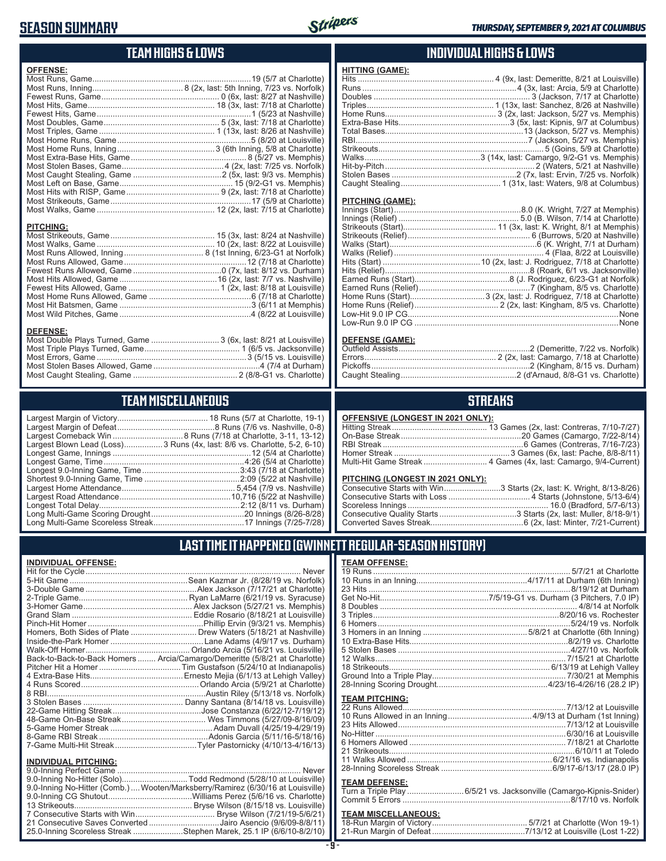### **SEASON SUMMARY**



### **TEAM HIGHS & LOWS**

| <b>OFFENSE:</b>  |                                                                  |
|------------------|------------------------------------------------------------------|
|                  |                                                                  |
|                  |                                                                  |
|                  |                                                                  |
|                  |                                                                  |
|                  |                                                                  |
|                  |                                                                  |
|                  |                                                                  |
|                  |                                                                  |
|                  |                                                                  |
|                  |                                                                  |
|                  |                                                                  |
|                  |                                                                  |
|                  |                                                                  |
|                  |                                                                  |
|                  |                                                                  |
|                  |                                                                  |
| <b>PITCHING:</b> |                                                                  |
| <b>DEFENSE:</b>  | Most Double Plays Turned, Game  3 (6x, last: 8/21 at Louisville) |

### **TEAM MISCELLANEOUS**

Most Caught Stealing, Game .............................................. 2 (8/8-G1 vs. Charlotte)

| Largest Blown Lead (Loss)3 Runs (4x, last: 8/6 vs. Charlotte, 5-2, 6-10) |
|--------------------------------------------------------------------------|
|                                                                          |
|                                                                          |
|                                                                          |
|                                                                          |
|                                                                          |
| .10,716 (5/22 at Nashville)                                              |
|                                                                          |
|                                                                          |
|                                                                          |

### **INDIVIDUAL HIGHS & LOWS**

| <b>HITTING (GAME):</b> |  |
|------------------------|--|
|                        |  |
|                        |  |
|                        |  |
|                        |  |
|                        |  |
|                        |  |
|                        |  |
|                        |  |
|                        |  |
|                        |  |
|                        |  |
|                        |  |
|                        |  |
|                        |  |

#### **PITCHING (GAME):**

#### **DEFENSE (GAME):**

### **STREAKS**

#### **OFFENSIVE (LONGEST IN 2021 ONLY):**

#### **PITCHING (LONGEST IN 2021 ONLY):**

| Consecutive Starts with Win3 Starts (2x, last: K. Wright, 8/13-8/26) |  |
|----------------------------------------------------------------------|--|
|                                                                      |  |
|                                                                      |  |
|                                                                      |  |
|                                                                      |  |
|                                                                      |  |

### **LAST TIME IT HAPPENED (GWINNETT REGULAR-SEASON HISTORY)**

#### **INDIVIDUAL OFFENSE:**

|                             | Homers, Both Sides of Plate  Drew Waters (5/18/21 at Nashville)            |
|-----------------------------|----------------------------------------------------------------------------|
|                             |                                                                            |
|                             |                                                                            |
|                             | Back-to-Back-to-Back Homers  Arcia/Camargo/Demeritte (5/8/21 at Charlotte) |
|                             |                                                                            |
|                             |                                                                            |
|                             |                                                                            |
|                             |                                                                            |
|                             |                                                                            |
|                             |                                                                            |
|                             |                                                                            |
|                             |                                                                            |
|                             |                                                                            |
|                             | 7-Game Multi-Hit Streak…Tyler Pastornicky (4/10/13-4/16/13)                |
| <b>INDIVIDUAL PITCHING:</b> |                                                                            |
|                             |                                                                            |

| 9.0-Inning No-Hitter (Solo)Todd Redmond (5/28/10 at Louisville)                |  |
|--------------------------------------------------------------------------------|--|
| 9.0-Inning No-Hitter (Comb.) Wooten/Marksberry/Ramirez (6/30/16 at Louisville) |  |
|                                                                                |  |
|                                                                                |  |
|                                                                                |  |
| 21 Consecutive Saves Converted Jairo Asencio (9/6/09-8/8/11)                   |  |
| 25.0-Inning Scoreless Streak Stephen Marek, 25.1 IP (6/6/10-8/2/10)            |  |
|                                                                                |  |

### **TEAM OFFENSE:**

| <b>TEAM PITCHING:</b> |                                                                    |
|-----------------------|--------------------------------------------------------------------|
|                       |                                                                    |
|                       |                                                                    |
|                       |                                                                    |
|                       |                                                                    |
|                       |                                                                    |
|                       |                                                                    |
|                       |                                                                    |
|                       |                                                                    |
| <b>TEAM DEFENSE:</b>  |                                                                    |
|                       | Turn a Triple Play 6/5/21 vs. Jacksonville (Camargo-Kipnis-Snider) |
|                       |                                                                    |

## Commit 5 Errors ..........................................................................8/17/10 vs. Norfolk

## **TEAM MISCELLANEOUS:**<br>18-Run Margin of Victory.....

| 21-Run Margin of Defeat…………………………………7/13/12 at Louisville (Lost 1-22) |
|-----------------------------------------------------------------------|